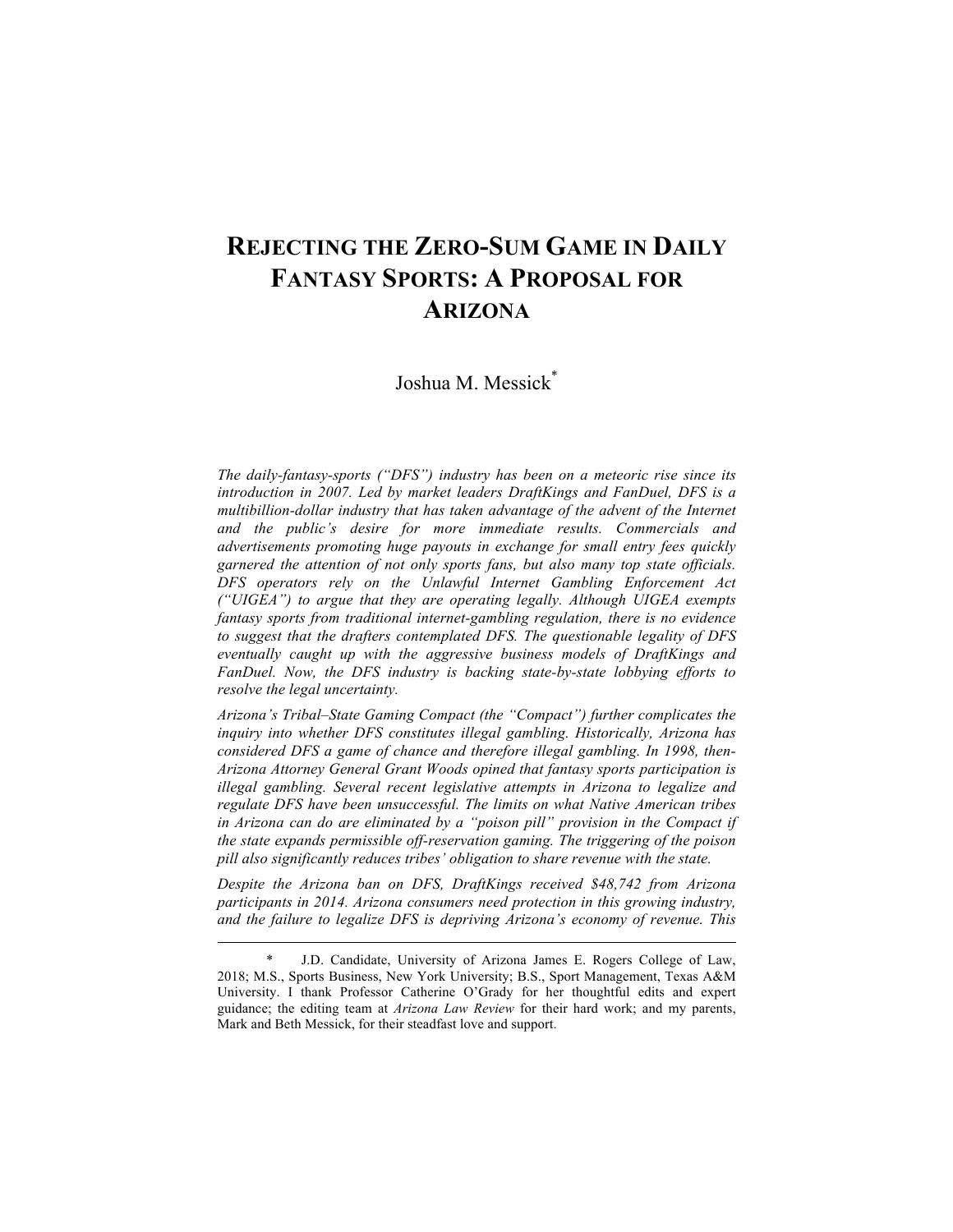# **REJECTING THE ZERO-SUM GAME IN DAILY FANTASY SPORTS: A PROPOSAL FOR ARIZONA**

Joshua M. Messick\*

*The daily-fantasy-sports ("DFS") industry has been on a meteoric rise since its introduction in 2007. Led by market leaders DraftKings and FanDuel, DFS is a multibillion-dollar industry that has taken advantage of the advent of the Internet and the public's desire for more immediate results. Commercials and advertisements promoting huge payouts in exchange for small entry fees quickly garnered the attention of not only sports fans, but also many top state officials. DFS operators rely on the Unlawful Internet Gambling Enforcement Act ("UIGEA") to argue that they are operating legally. Although UIGEA exempts fantasy sports from traditional internet-gambling regulation, there is no evidence to suggest that the drafters contemplated DFS. The questionable legality of DFS eventually caught up with the aggressive business models of DraftKings and FanDuel. Now, the DFS industry is backing state-by-state lobbying efforts to resolve the legal uncertainty.*

*Arizona's Tribal–State Gaming Compact (the "Compact") further complicates the inquiry into whether DFS constitutes illegal gambling. Historically, Arizona has considered DFS a game of chance and therefore illegal gambling. In 1998, then-Arizona Attorney General Grant Woods opined that fantasy sports participation is illegal gambling. Several recent legislative attempts in Arizona to legalize and regulate DFS have been unsuccessful. The limits on what Native American tribes in Arizona can do are eliminated by a "poison pill" provision in the Compact if the state expands permissible off-reservation gaming. The triggering of the poison pill also significantly reduces tribes' obligation to share revenue with the state.*

*Despite the Arizona ban on DFS, DraftKings received \$48,742 from Arizona participants in 2014. Arizona consumers need protection in this growing industry, and the failure to legalize DFS is depriving Arizona's economy of revenue. This* 

J.D. Candidate, University of Arizona James E. Rogers College of Law, 2018; M.S., Sports Business, New York University; B.S., Sport Management, Texas A&M University. I thank Professor Catherine O'Grady for her thoughtful edits and expert guidance; the editing team at *Arizona Law Review* for their hard work; and my parents, Mark and Beth Messick, for their steadfast love and support.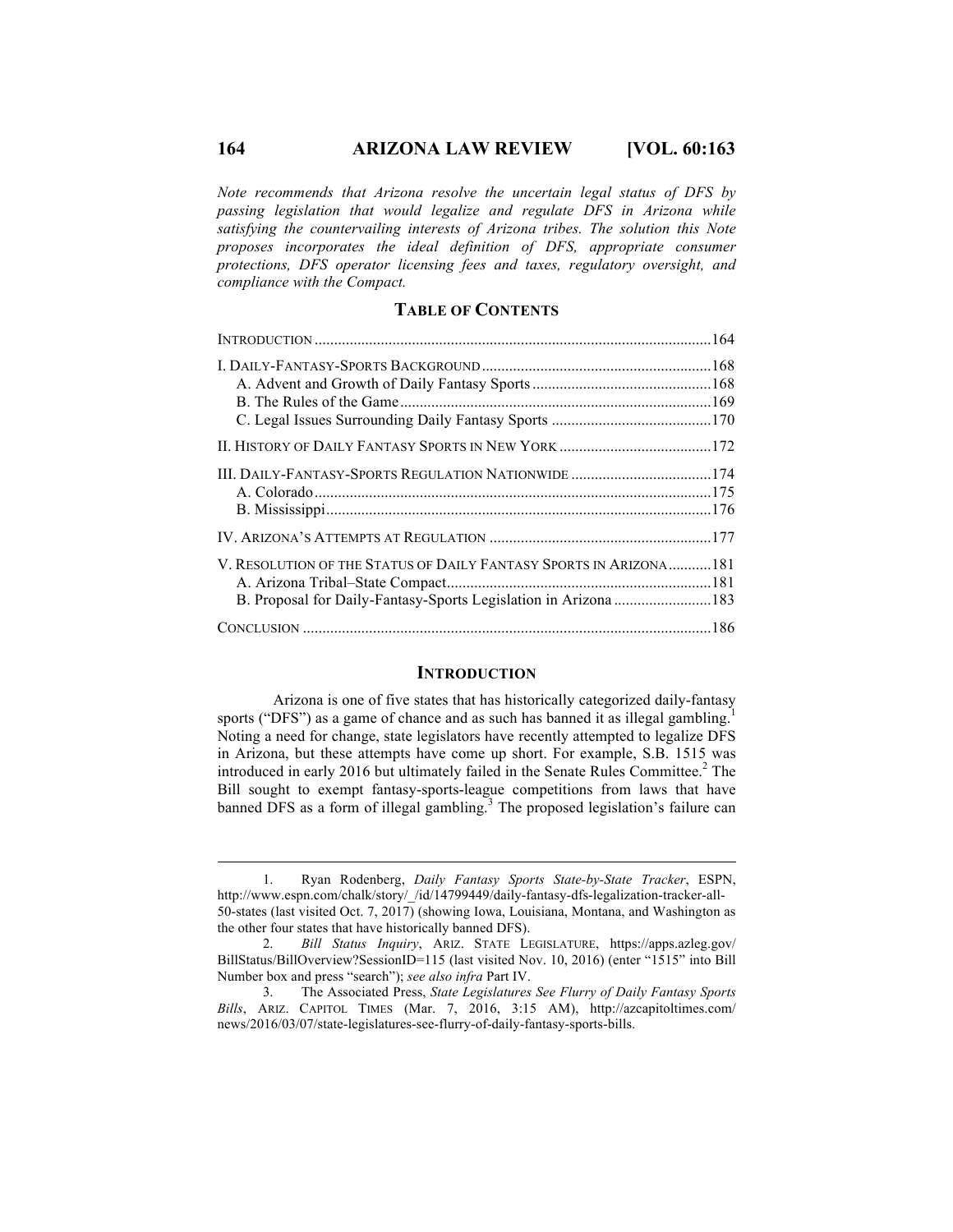*Note recommends that Arizona resolve the uncertain legal status of DFS by passing legislation that would legalize and regulate DFS in Arizona while satisfying the countervailing interests of Arizona tribes. The solution this Note proposes incorporates the ideal definition of DFS, appropriate consumer protections, DFS operator licensing fees and taxes, regulatory oversight, and compliance with the Compact.*

# **TABLE OF CONTENTS**

| V. RESOLUTION OF THE STATUS OF DAILY FANTASY SPORTS IN ARIZONA181<br>B. Proposal for Daily-Fantasy-Sports Legislation in Arizona 183 |  |
|--------------------------------------------------------------------------------------------------------------------------------------|--|
|                                                                                                                                      |  |

# **INTRODUCTION**

Arizona is one of five states that has historically categorized daily-fantasy sports ("DFS") as a game of chance and as such has banned it as illegal gambling.<sup>1</sup> Noting a need for change, state legislators have recently attempted to legalize DFS in Arizona, but these attempts have come up short. For example, S.B. 1515 was introduced in early 2016 but ultimately failed in the Senate Rules Committee.<sup>2</sup> The Bill sought to exempt fantasy-sports-league competitions from laws that have banned DFS as a form of illegal gambling.<sup>3</sup> The proposed legislation's failure can

 <sup>1.</sup> Ryan Rodenberg, *Daily Fantasy Sports State-by-State Tracker*, ESPN, http://www.espn.com/chalk/story/\_/id/14799449/daily-fantasy-dfs-legalization-tracker-all-50-states (last visited Oct. 7, 2017) (showing Iowa, Louisiana, Montana, and Washington as the other four states that have historically banned DFS).

<sup>2.</sup> *Bill Status Inquiry*, ARIZ. STATE LEGISLATURE, https://apps.azleg.gov/ BillStatus/BillOverview?SessionID=115 (last visited Nov. 10, 2016) (enter "1515" into Bill Number box and press "search"); *see also infra* Part IV.

<sup>3.</sup> The Associated Press, *State Legislatures See Flurry of Daily Fantasy Sports Bills*, ARIZ. CAPITOL TIMES (Mar. 7, 2016, 3:15 AM), http://azcapitoltimes.com/ news/2016/03/07/state-legislatures-see-flurry-of-daily-fantasy-sports-bills.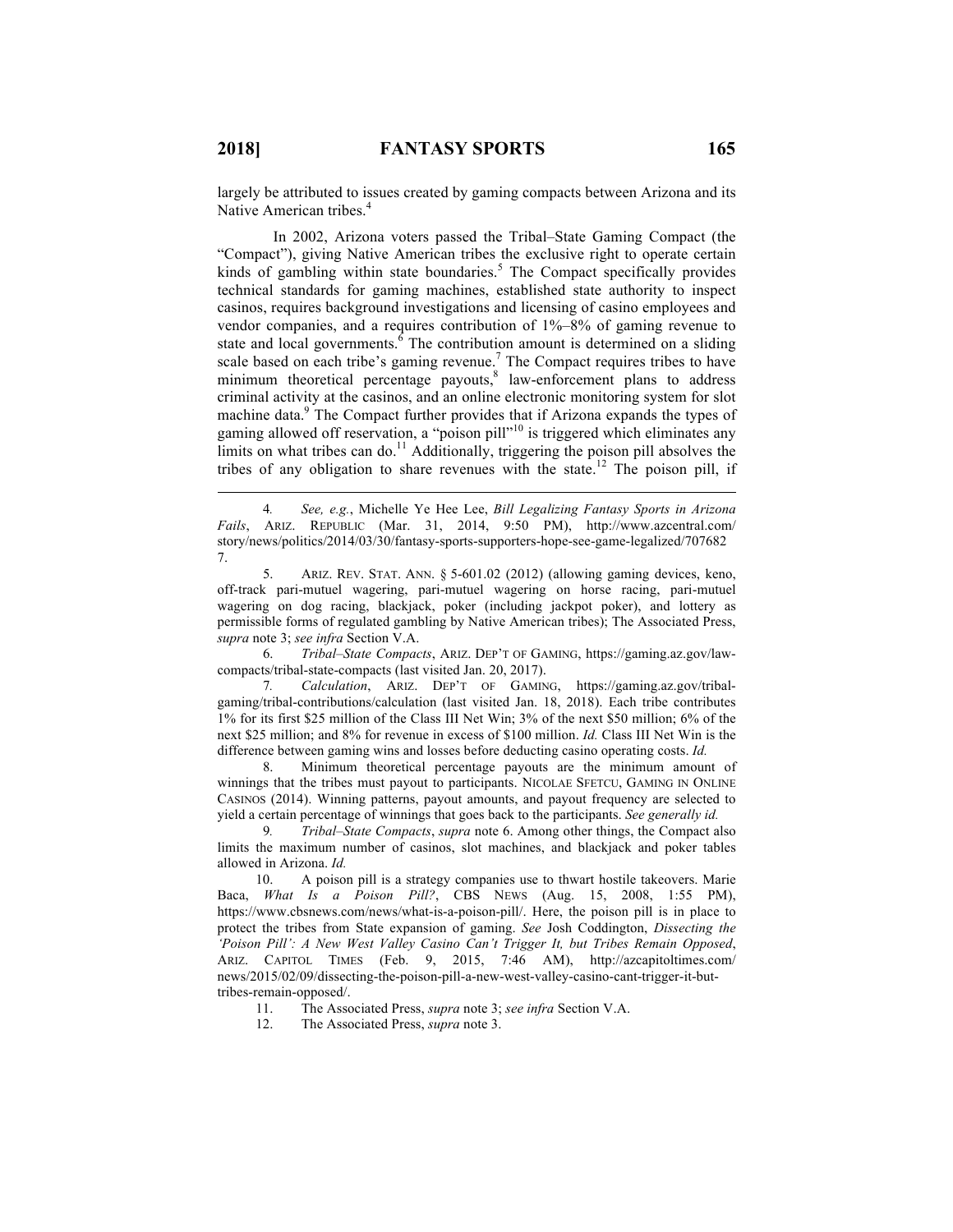largely be attributed to issues created by gaming compacts between Arizona and its Native American tribes.<sup>4</sup>

In 2002, Arizona voters passed the Tribal–State Gaming Compact (the "Compact"), giving Native American tribes the exclusive right to operate certain kinds of gambling within state boundaries.<sup>5</sup> The Compact specifically provides technical standards for gaming machines, established state authority to inspect casinos, requires background investigations and licensing of casino employees and vendor companies, and a requires contribution of 1%–8% of gaming revenue to state and local governments. $\overline{6}$  The contribution amount is determined on a sliding scale based on each tribe's gaming revenue.<sup>7</sup> The Compact requires tribes to have minimum theoretical percentage payouts, $8$  law-enforcement plans to address criminal activity at the casinos, and an online electronic monitoring system for slot machine data.<sup>9</sup> The Compact further provides that if Arizona expands the types of gaming allowed off reservation, a "poison pill"<sup>10</sup> is triggered which eliminates any limits on what tribes can do.<sup>11</sup> Additionally, triggering the poison pill absolves the tribes of any obligation to share revenues with the state.<sup>12</sup> The poison pill, if

5. ARIZ. REV. STAT. ANN. § 5-601.02 (2012) (allowing gaming devices, keno, off-track pari-mutuel wagering, pari-mutuel wagering on horse racing, pari-mutuel wagering on dog racing, blackjack, poker (including jackpot poker), and lottery as permissible forms of regulated gambling by Native American tribes); The Associated Press, *supra* note 3; *see infra* Section V.A.

6. *Tribal–State Compacts*, ARIZ. DEP'T OF GAMING, https://gaming.az.gov/lawcompacts/tribal-state-compacts (last visited Jan. 20, 2017).

7*. Calculation*, ARIZ. DEP'T OF GAMING, https://gaming.az.gov/tribalgaming/tribal-contributions/calculation (last visited Jan. 18, 2018). Each tribe contributes 1% for its first \$25 million of the Class III Net Win; 3% of the next \$50 million; 6% of the next \$25 million; and 8% for revenue in excess of \$100 million. *Id.* Class III Net Win is the difference between gaming wins and losses before deducting casino operating costs. *Id.*

8. Minimum theoretical percentage payouts are the minimum amount of winnings that the tribes must payout to participants. NICOLAE SFETCU, GAMING IN ONLINE CASINOS (2014). Winning patterns, payout amounts, and payout frequency are selected to yield a certain percentage of winnings that goes back to the participants. *See generally id.*

9*. Tribal–State Compacts*, *supra* note 6. Among other things, the Compact also limits the maximum number of casinos, slot machines, and blackjack and poker tables allowed in Arizona. *Id.*

10. A poison pill is a strategy companies use to thwart hostile takeovers. Marie Baca, *What Is a Poison Pill?*, CBS NEWS (Aug. 15, 2008, 1:55 PM), https://www.cbsnews.com/news/what-is-a-poison-pill/. Here, the poison pill is in place to protect the tribes from State expansion of gaming. *See* Josh Coddington, *Dissecting the 'Poison Pill': A New West Valley Casino Can't Trigger It, but Tribes Remain Opposed*, ARIZ. CAPITOL TIMES (Feb. 9, 2015, 7:46 AM), http://azcapitoltimes.com/ news/2015/02/09/dissecting-the-poison-pill-a-new-west-valley-casino-cant-trigger-it-buttribes-remain-opposed/.

11. The Associated Press, *supra* note 3; *see infra* Section V.A.

12. The Associated Press, *supra* note 3.

 <sup>4</sup>*. See, e.g.*, Michelle Ye Hee Lee, *Bill Legalizing Fantasy Sports in Arizona Fails*, ARIZ. REPUBLIC (Mar. 31, 2014, 9:50 PM), http://www.azcentral.com/ story/news/politics/2014/03/30/fantasy-sports-supporters-hope-see-game-legalized/707682 7.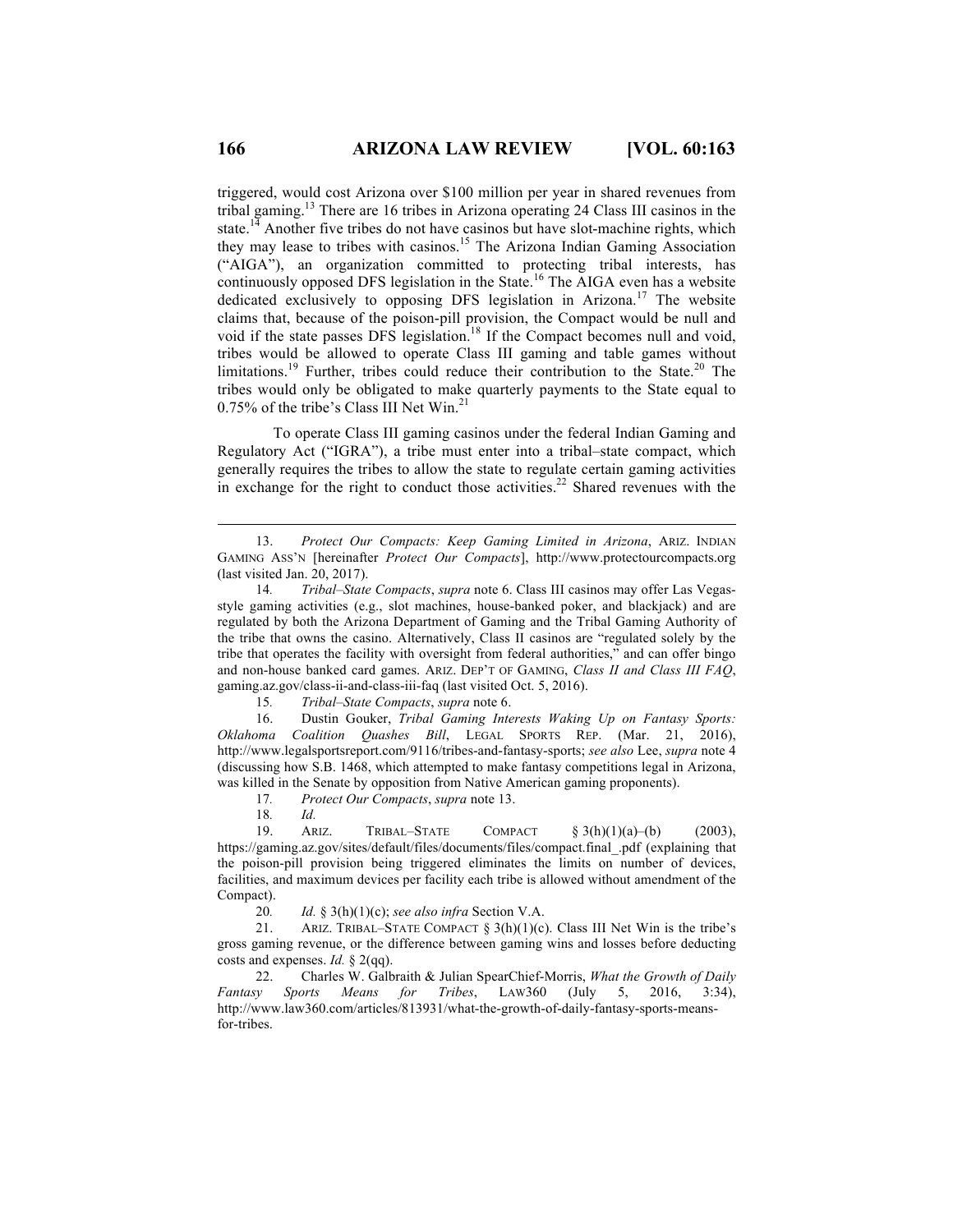triggered, would cost Arizona over \$100 million per year in shared revenues from tribal gaming.13 There are 16 tribes in Arizona operating 24 Class III casinos in the state.<sup>14</sup> Another five tribes do not have casinos but have slot-machine rights, which they may lease to tribes with casinos.<sup>15</sup> The Arizona Indian Gaming Association ("AIGA"), an organization committed to protecting tribal interests, has continuously opposed DFS legislation in the State.<sup>16</sup> The AIGA even has a website dedicated exclusively to opposing DFS legislation in Arizona.<sup>17</sup> The website claims that, because of the poison-pill provision, the Compact would be null and void if the state passes DFS legislation. <sup>18</sup> If the Compact becomes null and void, tribes would be allowed to operate Class III gaming and table games without limitations.<sup>19</sup> Further, tribes could reduce their contribution to the State.<sup>20</sup> The tribes would only be obligated to make quarterly payments to the State equal to 0.75% of the tribe's Class III Net Win.<sup>21</sup>

To operate Class III gaming casinos under the federal Indian Gaming and Regulatory Act ("IGRA"), a tribe must enter into a tribal–state compact, which generally requires the tribes to allow the state to regulate certain gaming activities in exchange for the right to conduct those activities.<sup>22</sup> Shared revenues with the

14*. Tribal–State Compacts*, *supra* note 6. Class III casinos may offer Las Vegasstyle gaming activities (e.g., slot machines, house-banked poker, and blackjack) and are regulated by both the Arizona Department of Gaming and the Tribal Gaming Authority of the tribe that owns the casino. Alternatively, Class II casinos are "regulated solely by the tribe that operates the facility with oversight from federal authorities," and can offer bingo and non-house banked card games. ARIZ. DEP'T OF GAMING, *Class II and Class III FAQ*, gaming.az.gov/class-ii-and-class-iii-faq (last visited Oct. 5, 2016).

15*. Tribal–State Compacts*, *supra* note 6.

16. Dustin Gouker, *Tribal Gaming Interests Waking Up on Fantasy Sports: Oklahoma Coalition Quashes Bill*, LEGAL SPORTS REP. (Mar. 21, 2016), http://www.legalsportsreport.com/9116/tribes-and-fantasy-sports; *see also* Lee, *supra* note 4 (discussing how S.B. 1468, which attempted to make fantasy competitions legal in Arizona, was killed in the Senate by opposition from Native American gaming proponents).

17*. Protect Our Compacts*, *supra* note 13.

18*. Id.* 19. ARIZ. TRIBAL–STATE COMPACT § 3(h)(1)(a)–(b) (2003), https://gaming.az.gov/sites/default/files/documents/files/compact.final\_.pdf (explaining that the poison-pill provision being triggered eliminates the limits on number of devices, facilities, and maximum devices per facility each tribe is allowed without amendment of the Compact).

20*. Id.* § 3(h)(1)(c); *see also infra* Section V.A.

21. ARIZ. TRIBAL–STATE COMPACT  $\S 3(h)(1)(c)$ . Class III Net Win is the tribe's gross gaming revenue, or the difference between gaming wins and losses before deducting costs and expenses. *Id.* § 2(qq).

22. Charles W. Galbraith & Julian SpearChief-Morris, *What the Growth of Daily Fantasy Sports Means for Tribes*, LAW360 (July 5, 2016, 3:34), http://www.law360.com/articles/813931/what-the-growth-of-daily-fantasy-sports-meansfor-tribes.

 <sup>13.</sup> *Protect Our Compacts: Keep Gaming Limited in Arizona*, ARIZ. INDIAN GAMING ASS'N [hereinafter *Protect Our Compacts*], http://www.protectourcompacts.org (last visited Jan. 20, 2017).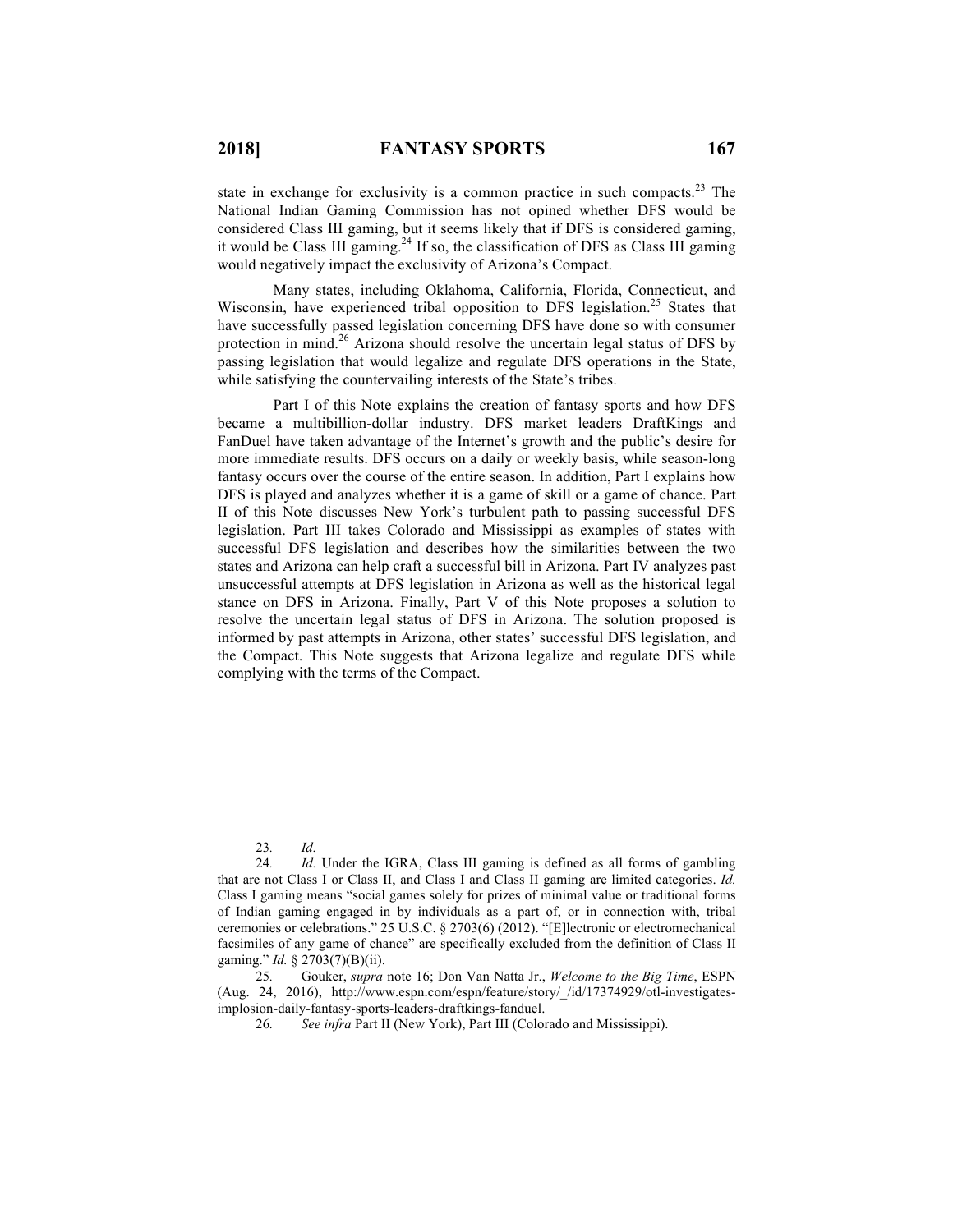state in exchange for exclusivity is a common practice in such compacts.<sup>23</sup> The National Indian Gaming Commission has not opined whether DFS would be considered Class III gaming, but it seems likely that if DFS is considered gaming, it would be Class III gaming.<sup>24</sup> If so, the classification of DFS as Class III gaming would negatively impact the exclusivity of Arizona's Compact.

Many states, including Oklahoma, California, Florida, Connecticut, and Wisconsin, have experienced tribal opposition to DFS legislation.<sup>25</sup> States that have successfully passed legislation concerning DFS have done so with consumer protection in mind.<sup>26</sup> Arizona should resolve the uncertain legal status of DFS by passing legislation that would legalize and regulate DFS operations in the State, while satisfying the countervailing interests of the State's tribes.

Part I of this Note explains the creation of fantasy sports and how DFS became a multibillion-dollar industry. DFS market leaders DraftKings and FanDuel have taken advantage of the Internet's growth and the public's desire for more immediate results. DFS occurs on a daily or weekly basis, while season-long fantasy occurs over the course of the entire season. In addition, Part I explains how DFS is played and analyzes whether it is a game of skill or a game of chance. Part II of this Note discusses New York's turbulent path to passing successful DFS legislation. Part III takes Colorado and Mississippi as examples of states with successful DFS legislation and describes how the similarities between the two states and Arizona can help craft a successful bill in Arizona. Part IV analyzes past unsuccessful attempts at DFS legislation in Arizona as well as the historical legal stance on DFS in Arizona. Finally, Part V of this Note proposes a solution to resolve the uncertain legal status of DFS in Arizona. The solution proposed is informed by past attempts in Arizona, other states' successful DFS legislation, and the Compact. This Note suggests that Arizona legalize and regulate DFS while complying with the terms of the Compact.

 <sup>23</sup>*. Id.*

<sup>24</sup>*. Id.* Under the IGRA, Class III gaming is defined as all forms of gambling that are not Class I or Class II, and Class I and Class II gaming are limited categories. *Id.*  Class I gaming means "social games solely for prizes of minimal value or traditional forms of Indian gaming engaged in by individuals as a part of, or in connection with, tribal ceremonies or celebrations." 25 U.S.C. § 2703(6) (2012). "[E]lectronic or electromechanical facsimiles of any game of chance" are specifically excluded from the definition of Class II gaming." *Id.* § 2703(7)(B)(ii).

<sup>25</sup>*.* Gouker, *supra* note 16; Don Van Natta Jr., *Welcome to the Big Time*, ESPN (Aug. 24, 2016), http://www.espn.com/espn/feature/story/\_/id/17374929/otl-investigatesimplosion-daily-fantasy-sports-leaders-draftkings-fanduel.

<sup>26</sup>*. See infra* Part II (New York), Part III (Colorado and Mississippi).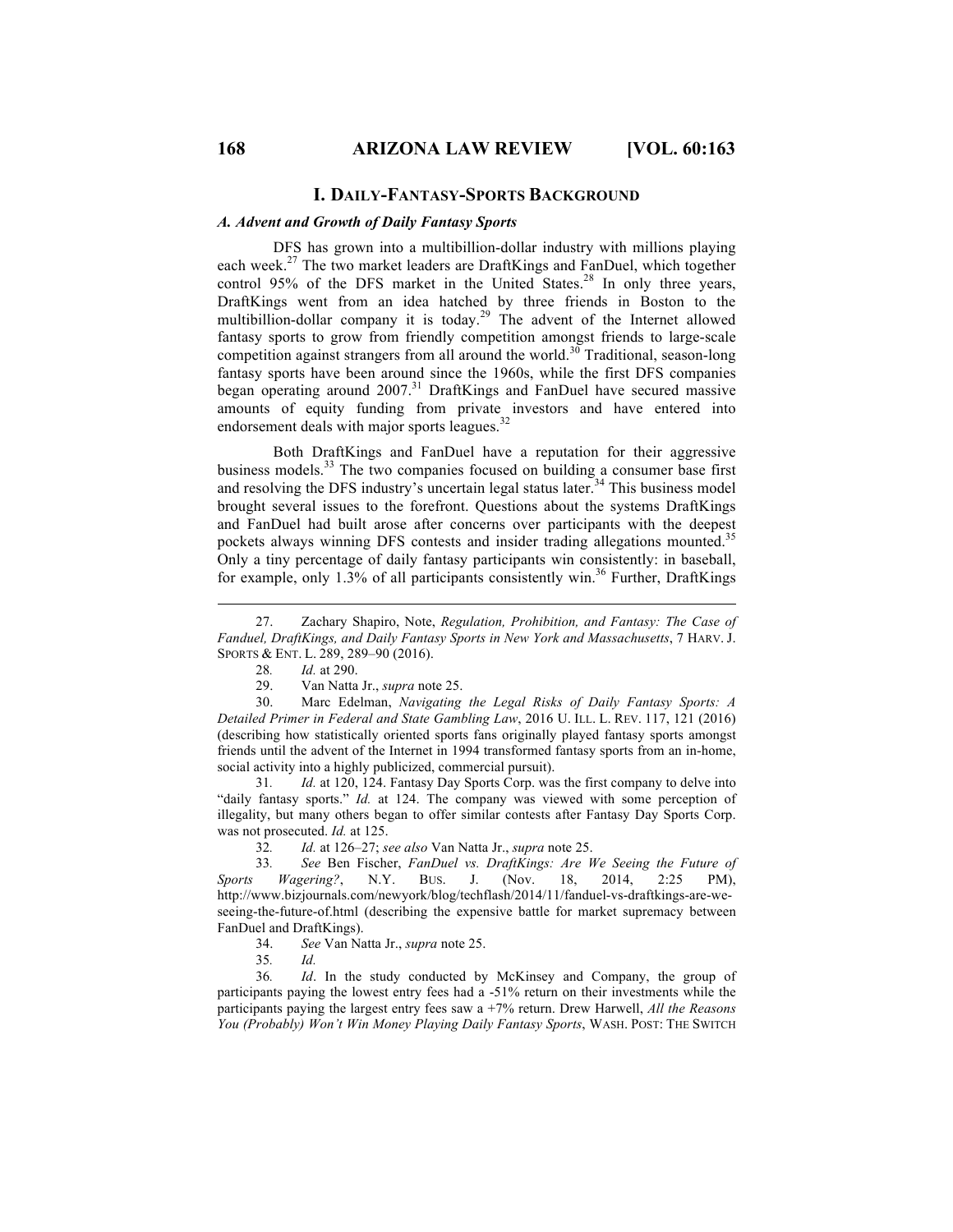#### **I. DAILY-FANTASY-SPORTS BACKGROUND**

#### *A. Advent and Growth of Daily Fantasy Sports*

DFS has grown into a multibillion-dollar industry with millions playing each week.<sup>27</sup> The two market leaders are DraftKings and FanDuel, which together control 95% of the DFS market in the United States.<sup>28</sup> In only three years, DraftKings went from an idea hatched by three friends in Boston to the multibillion-dollar company it is today.<sup>29</sup> The advent of the Internet allowed fantasy sports to grow from friendly competition amongst friends to large-scale competition against strangers from all around the world.<sup>30</sup> Traditional, season-long fantasy sports have been around since the 1960s, while the first DFS companies began operating around 2007.<sup>31</sup> DraftKings and FanDuel have secured massive amounts of equity funding from private investors and have entered into endorsement deals with major sports leagues.<sup>32</sup>

Both DraftKings and FanDuel have a reputation for their aggressive business models. <sup>33</sup> The two companies focused on building a consumer base first and resolving the DFS industry's uncertain legal status later.<sup>34</sup> This business model brought several issues to the forefront. Questions about the systems DraftKings and FanDuel had built arose after concerns over participants with the deepest pockets always winning DFS contests and insider trading allegations mounted.<sup>35</sup> Only a tiny percentage of daily fantasy participants win consistently: in baseball, for example, only 1.3% of all participants consistently win. <sup>36</sup> Further, DraftKings

30. Marc Edelman, *Navigating the Legal Risks of Daily Fantasy Sports: A Detailed Primer in Federal and State Gambling Law*, 2016 U. ILL. L. REV. 117, 121 (2016) (describing how statistically oriented sports fans originally played fantasy sports amongst friends until the advent of the Internet in 1994 transformed fantasy sports from an in-home, social activity into a highly publicized, commercial pursuit).

31*. Id.* at 120, 124. Fantasy Day Sports Corp. was the first company to delve into "daily fantasy sports." *Id.* at 124. The company was viewed with some perception of illegality, but many others began to offer similar contests after Fantasy Day Sports Corp. was not prosecuted. *Id.* at 125.

32*. Id.* at 126–27; *see also* Van Natta Jr., *supra* note 25.

33*. See* Ben Fischer, *FanDuel vs. DraftKings: Are We Seeing the Future of Sports Wagering?*, N.Y. BUS. J. (Nov. 18, 2014, 2:25 PM), http://www.bizjournals.com/newyork/blog/techflash/2014/11/fanduel-vs-draftkings-are-weseeing-the-future-of.html (describing the expensive battle for market supremacy between FanDuel and DraftKings).

34. *See* Van Natta Jr., *supra* note 25.

35*. Id.*

36*. Id*. In the study conducted by McKinsey and Company, the group of participants paying the lowest entry fees had a -51% return on their investments while the participants paying the largest entry fees saw a +7% return. Drew Harwell, *All the Reasons You (Probably) Won't Win Money Playing Daily Fantasy Sports*, WASH. POST: THE SWITCH

 <sup>27.</sup> Zachary Shapiro, Note, *Regulation, Prohibition, and Fantasy: The Case of Fanduel, DraftKings, and Daily Fantasy Sports in New York and Massachusetts*, 7 HARV. J. SPORTS & ENT. L. 289, 289–90 (2016).

<sup>28</sup>*. Id.* at 290.

<sup>29.</sup> Van Natta Jr., *supra* note 25.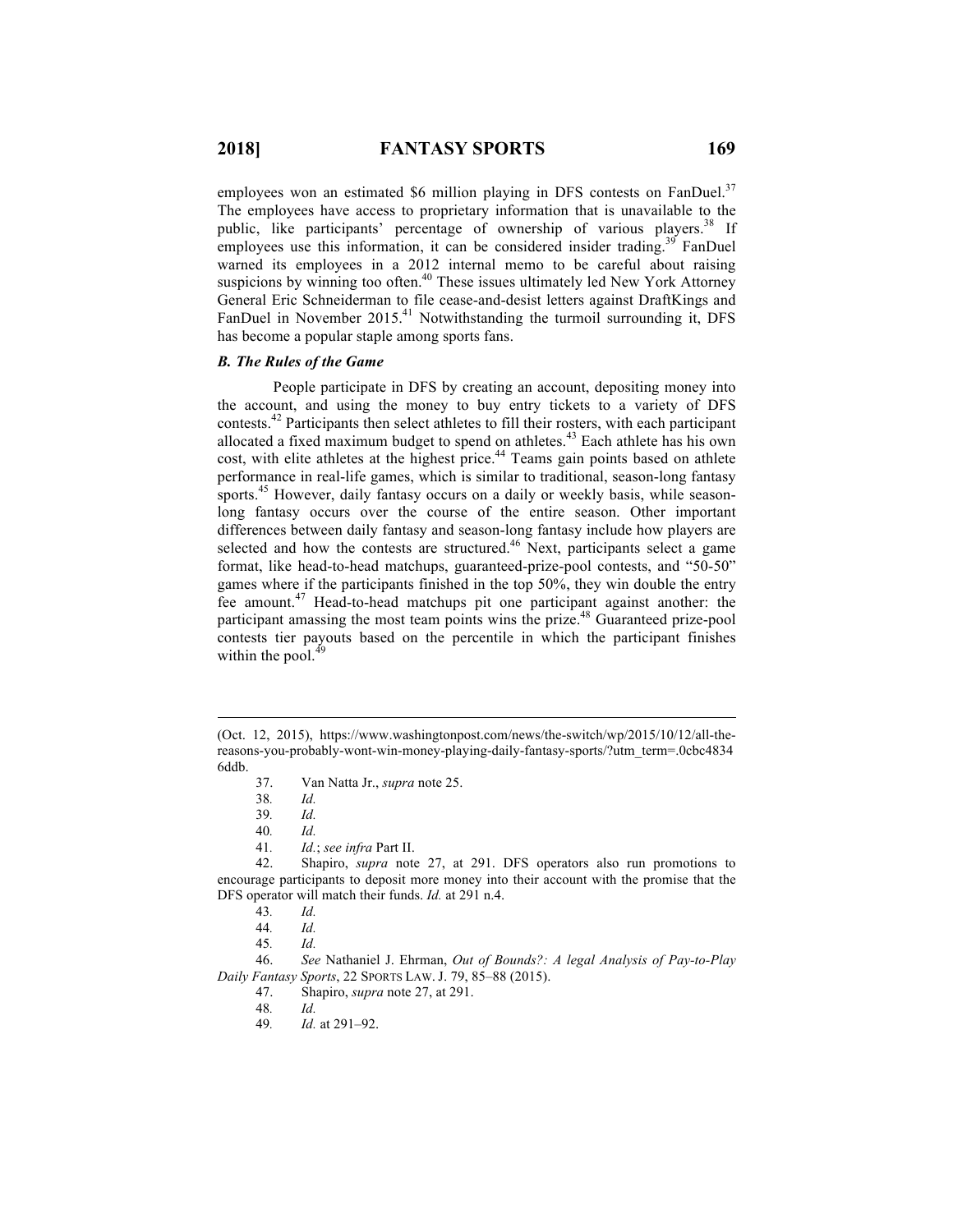employees won an estimated \$6 million playing in DFS contests on FanDuel.<sup>37</sup> The employees have access to proprietary information that is unavailable to the public, like participants' percentage of ownership of various players.<sup>38</sup> If employees use this information, it can be considered insider trading.<sup>39</sup> FanDuel warned its employees in a 2012 internal memo to be careful about raising suspicions by winning too often. $40$  These issues ultimately led New York Attorney General Eric Schneiderman to file cease-and-desist letters against DraftKings and FanDuel in November  $2015<sup>41</sup>$  Notwithstanding the turmoil surrounding it, DFS has become a popular staple among sports fans.

#### *B. The Rules of the Game*

People participate in DFS by creating an account, depositing money into the account, and using the money to buy entry tickets to a variety of DFS contests.<sup>42</sup> Participants then select athletes to fill their rosters, with each participant allocated a fixed maximum budget to spend on athletes.<sup>43</sup> Each athlete has his own cost, with elite athletes at the highest price.<sup>44</sup> Teams gain points based on athlete performance in real-life games, which is similar to traditional, season-long fantasy sports.<sup>45</sup> However, daily fantasy occurs on a daily or weekly basis, while seasonlong fantasy occurs over the course of the entire season. Other important differences between daily fantasy and season-long fantasy include how players are selected and how the contests are structured.<sup>46</sup> Next, participants select a game format, like head-to-head matchups, guaranteed-prize-pool contests, and "50-50" games where if the participants finished in the top 50%, they win double the entry fee amount.<sup>47</sup> Head-to-head matchups pit one participant against another: the participant amassing the most team points wins the prize.<sup>48</sup> Guaranteed prize-pool contests tier payouts based on the percentile in which the participant finishes within the pool. $4$ 

 <sup>(</sup>Oct. 12, 2015), https://www.washingtonpost.com/news/the-switch/wp/2015/10/12/all-thereasons-you-probably-wont-win-money-playing-daily-fantasy-sports/?utm\_term=.0cbc4834 6ddb.

<sup>37.</sup> Van Natta Jr., *supra* note 25.

<sup>38</sup>*. Id.*

<sup>39</sup>*. Id.*

<sup>40</sup>*. Id.*

<sup>41</sup>*. Id.*; *see infra* Part II.

<sup>42.</sup> Shapiro, *supra* note 27, at 291. DFS operators also run promotions to encourage participants to deposit more money into their account with the promise that the DFS operator will match their funds. *Id.* at 291 n.4.

<sup>43</sup>*. Id.*

<sup>44</sup>*. Id.*

<sup>45</sup>*. Id.*

<sup>46.</sup> *See* Nathaniel J. Ehrman, *Out of Bounds?: A legal Analysis of Pay-to-Play Daily Fantasy Sports*, 22 SPORTS LAW. J. 79, 85–88 (2015).

<sup>47.</sup> Shapiro, *supra* note 27, at 291.

<sup>48</sup>*. Id.*

<sup>49</sup>*. Id.* at 291–92.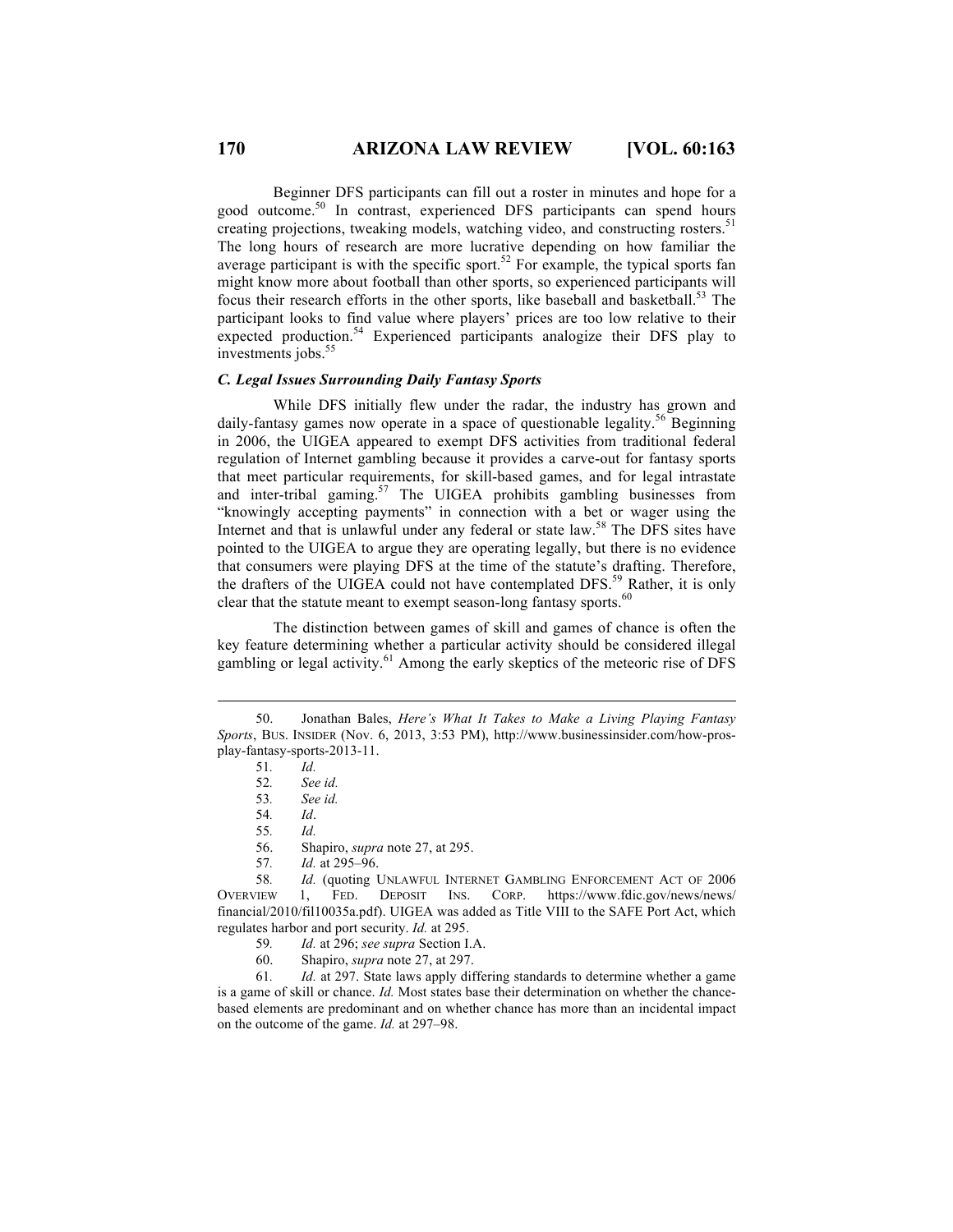Beginner DFS participants can fill out a roster in minutes and hope for a good outcome.<sup>50</sup> In contrast, experienced DFS participants can spend hours creating projections, tweaking models, watching video, and constructing rosters.<sup>51</sup> The long hours of research are more lucrative depending on how familiar the average participant is with the specific sport.<sup>52</sup> For example, the typical sports fan might know more about football than other sports, so experienced participants will focus their research efforts in the other sports, like baseball and basketball.<sup>53</sup> The participant looks to find value where players' prices are too low relative to their expected production.<sup>54</sup> Experienced participants analogize their DFS play to investments jobs.<sup>55</sup>

## *C. Legal Issues Surrounding Daily Fantasy Sports*

While DFS initially flew under the radar, the industry has grown and daily-fantasy games now operate in a space of questionable legality.<sup>56</sup> Beginning in 2006, the UIGEA appeared to exempt DFS activities from traditional federal regulation of Internet gambling because it provides a carve-out for fantasy sports that meet particular requirements, for skill-based games, and for legal intrastate and inter-tribal gaming.<sup>57</sup> The UIGEA prohibits gambling businesses from "knowingly accepting payments" in connection with a bet or wager using the Internet and that is unlawful under any federal or state law.<sup>58</sup> The DFS sites have pointed to the UIGEA to argue they are operating legally, but there is no evidence that consumers were playing DFS at the time of the statute's drafting. Therefore, the drafters of the UIGEA could not have contemplated DFS.<sup>59</sup> Rather, it is only clear that the statute meant to exempt season-long fantasy sports.<sup>6</sup>

The distinction between games of skill and games of chance is often the key feature determining whether a particular activity should be considered illegal gambling or legal activity. $^{61}$  Among the early skeptics of the meteoric rise of DFS

61*. Id.* at 297. State laws apply differing standards to determine whether a game is a game of skill or chance. *Id.* Most states base their determination on whether the chancebased elements are predominant and on whether chance has more than an incidental impact on the outcome of the game. *Id.* at 297–98.

 <sup>50.</sup> Jonathan Bales, *Here's What It Takes to Make a Living Playing Fantasy Sports*, BUS. INSIDER (Nov. 6, 2013, 3:53 PM), http://www.businessinsider.com/how-prosplay-fantasy-sports-2013-11.

<sup>51</sup>*. Id.*

<sup>52</sup>*. See id.*

<sup>53</sup>*. See id.*

<sup>54</sup>*. Id*.

<sup>55</sup>*. Id.*

<sup>56.</sup> Shapiro, *supra* note 27, at 295.

<sup>57</sup>*. Id.* at 295–96.

<sup>58</sup>*. Id.* (quoting UNLAWFUL INTERNET GAMBLING ENFORCEMENT ACT OF 2006 OVERVIEW 1, FED. DEPOSIT INS. CORP. https://www.fdic.gov/news/news/ financial/2010/fil10035a.pdf). UIGEA was added as Title VIII to the SAFE Port Act, which regulates harbor and port security. *Id.* at 295.

<sup>59</sup>*. Id.* at 296; *see supra* Section I.A.

<sup>60.</sup> Shapiro, *supra* note 27, at 297.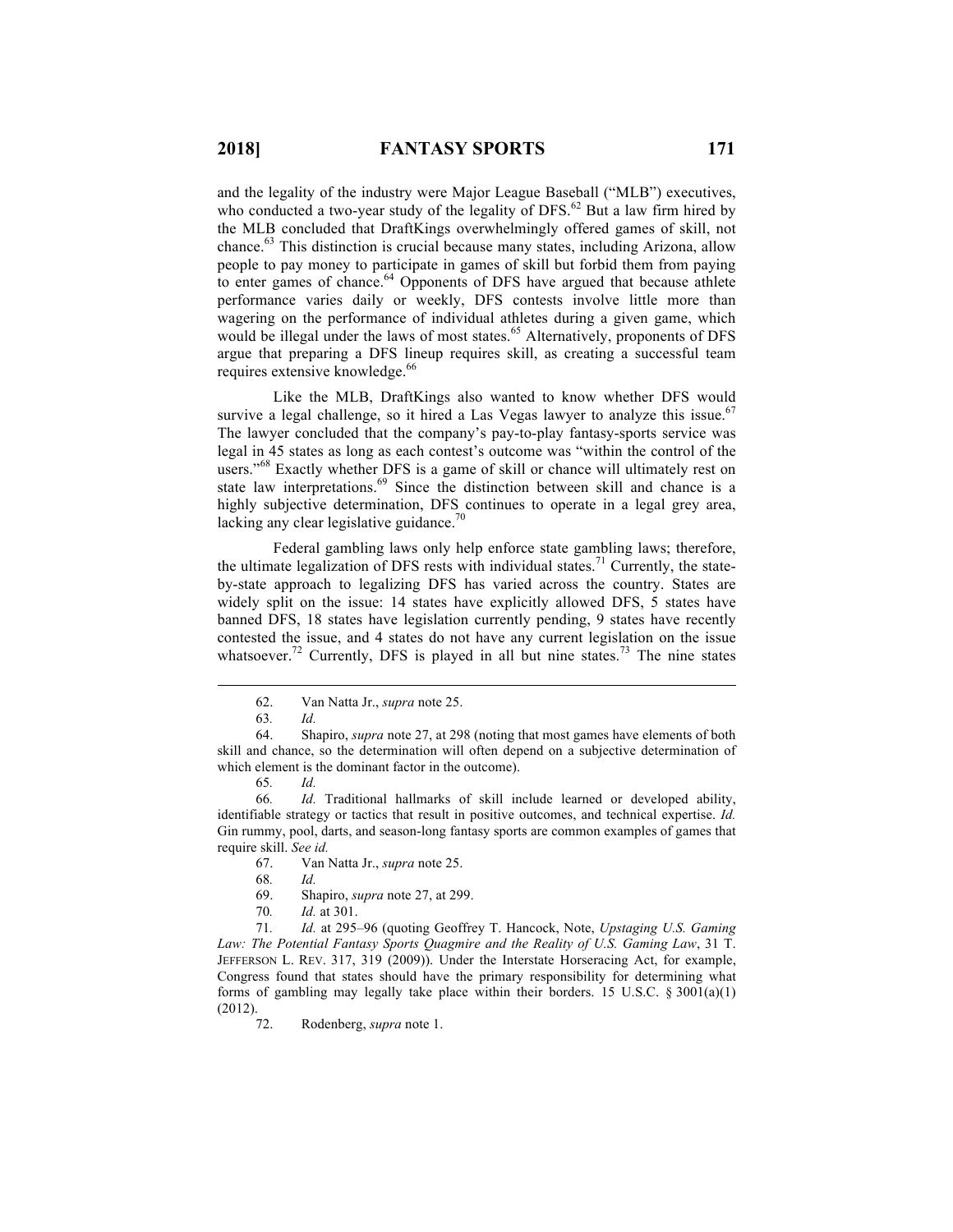and the legality of the industry were Major League Baseball ("MLB") executives, who conducted a two-year study of the legality of DFS.<sup>62</sup> But a law firm hired by the MLB concluded that DraftKings overwhelmingly offered games of skill, not chance.<sup>63</sup> This distinction is crucial because many states, including Arizona, allow people to pay money to participate in games of skill but forbid them from paying to enter games of chance.<sup>64</sup> Opponents of DFS have argued that because athlete performance varies daily or weekly, DFS contests involve little more than wagering on the performance of individual athletes during a given game, which would be illegal under the laws of most states.<sup>65</sup> Alternatively, proponents of DFS argue that preparing a DFS lineup requires skill, as creating a successful team requires extensive knowledge.<sup>66</sup>

Like the MLB, DraftKings also wanted to know whether DFS would survive a legal challenge, so it hired a Las Vegas lawyer to analyze this issue.<sup>67</sup> The lawyer concluded that the company's pay-to-play fantasy-sports service was legal in 45 states as long as each contest's outcome was "within the control of the users."<sup>68</sup> Exactly whether DFS is a game of skill or chance will ultimately rest on state law interpretations.<sup>69</sup> Since the distinction between skill and chance is a highly subjective determination, DFS continues to operate in a legal grey area, lacking any clear legislative guidance.<sup>70</sup>

Federal gambling laws only help enforce state gambling laws; therefore, the ultimate legalization of DFS rests with individual states.<sup>71</sup> Currently, the stateby-state approach to legalizing DFS has varied across the country. States are widely split on the issue: 14 states have explicitly allowed DFS, 5 states have banned DFS, 18 states have legislation currently pending, 9 states have recently contested the issue, and 4 states do not have any current legislation on the issue whatsoever.<sup>72</sup> Currently, DFS is played in all but nine states.<sup>73</sup> The nine states

65*. Id.*

70*. Id.* at 301.

71*. Id.* at 295–96 (quoting Geoffrey T. Hancock, Note, *Upstaging U.S. Gaming Law: The Potential Fantasy Sports Quagmire and the Reality of U.S. Gaming Law*, 31 T. JEFFERSON L. REV. 317, 319 (2009)). Under the Interstate Horseracing Act, for example, Congress found that states should have the primary responsibility for determining what forms of gambling may legally take place within their borders. 15 U.S.C.  $\S 3001(a)(1)$ (2012).

72. Rodenberg, *supra* note 1.

 <sup>62.</sup> Van Natta Jr., *supra* note 25.

<sup>63</sup>*. Id.*

<sup>64.</sup> Shapiro, *supra* note 27, at 298 (noting that most games have elements of both skill and chance, so the determination will often depend on a subjective determination of which element is the dominant factor in the outcome).

<sup>66</sup>*. Id.* Traditional hallmarks of skill include learned or developed ability, identifiable strategy or tactics that result in positive outcomes, and technical expertise. *Id.* Gin rummy, pool, darts, and season-long fantasy sports are common examples of games that require skill. *See id.*

<sup>67.</sup> Van Natta Jr., *supra* note 25.

<sup>68</sup>*. Id.*

<sup>69.</sup> Shapiro, *supra* note 27, at 299.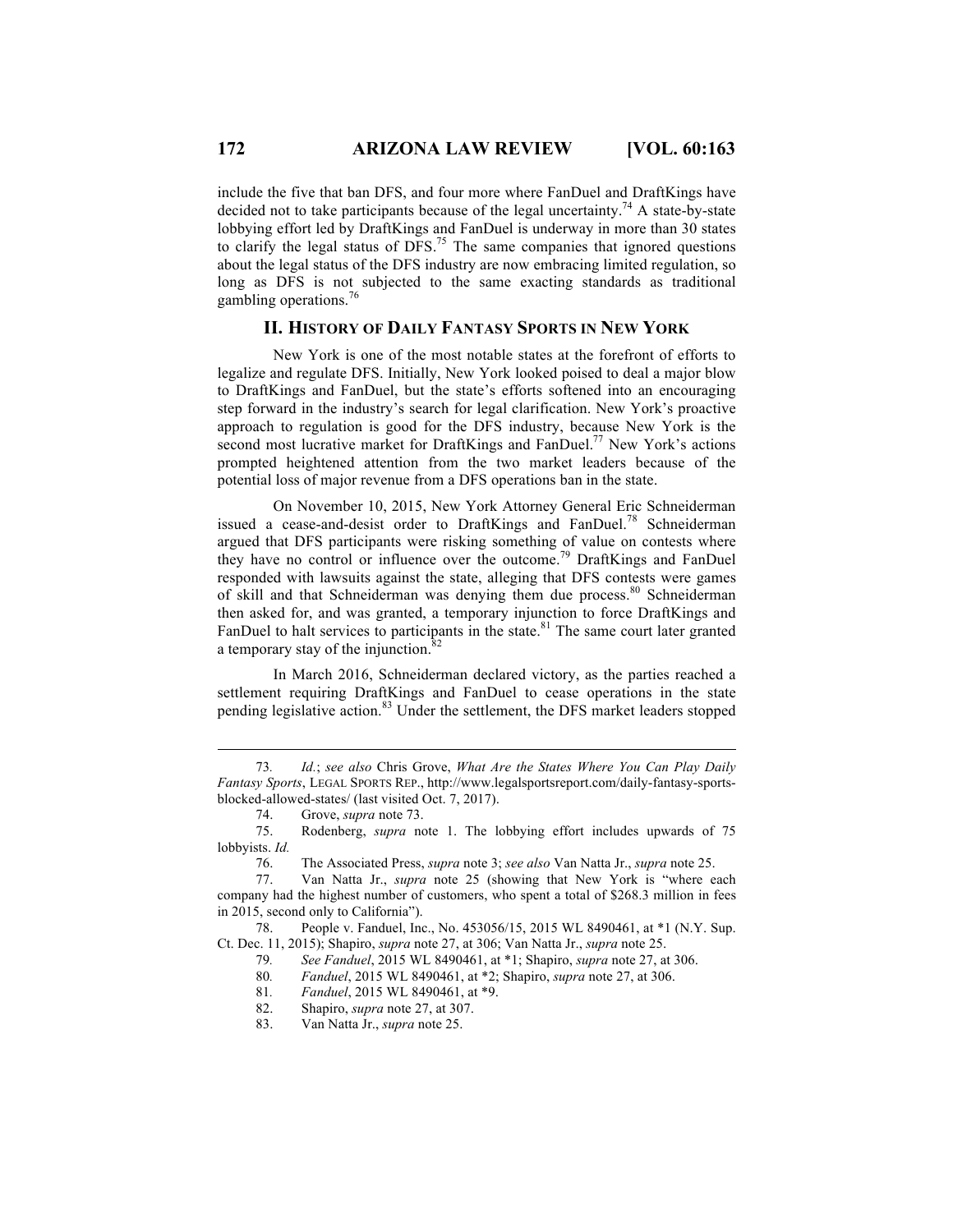include the five that ban DFS, and four more where FanDuel and DraftKings have decided not to take participants because of the legal uncertainty.<sup>74</sup> A state-by-state lobbying effort led by DraftKings and FanDuel is underway in more than 30 states to clarify the legal status of DFS.<sup>75</sup> The same companies that ignored questions about the legal status of the DFS industry are now embracing limited regulation, so long as DFS is not subjected to the same exacting standards as traditional gambling operations.<sup>76</sup>

# **II. HISTORY OF DAILY FANTASY SPORTS IN NEW YORK**

New York is one of the most notable states at the forefront of efforts to legalize and regulate DFS. Initially, New York looked poised to deal a major blow to DraftKings and FanDuel, but the state's efforts softened into an encouraging step forward in the industry's search for legal clarification. New York's proactive approach to regulation is good for the DFS industry, because New York is the second most lucrative market for DraftKings and  $FanDuel.<sup>77</sup>$  New York's actions prompted heightened attention from the two market leaders because of the potential loss of major revenue from a DFS operations ban in the state.

On November 10, 2015, New York Attorney General Eric Schneiderman issued a cease-and-desist order to DraftKings and FanDuel.<sup>78</sup> Schneiderman argued that DFS participants were risking something of value on contests where they have no control or influence over the outcome.<sup>79</sup> DraftKings and FanDuel responded with lawsuits against the state, alleging that DFS contests were games of skill and that Schneiderman was denying them due process.<sup>80</sup> Schneiderman then asked for, and was granted, a temporary injunction to force DraftKings and FanDuel to halt services to participants in the state.<sup>81</sup> The same court later granted a temporary stay of the injunction.<sup>82</sup>

In March 2016, Schneiderman declared victory, as the parties reached a settlement requiring DraftKings and FanDuel to cease operations in the state pending legislative action. <sup>83</sup> Under the settlement, the DFS market leaders stopped

- 80*. Fanduel*, 2015 WL 8490461, at \*2; Shapiro, *supra* note 27, at 306.
- 81*. Fanduel*, 2015 WL 8490461, at \*9.
- 82. Shapiro, *supra* note 27, at 307.
- 83. Van Natta Jr., *supra* note 25.

 <sup>73</sup>*. Id.*; *see also* Chris Grove, *What Are the States Where You Can Play Daily Fantasy Sports*, LEGAL SPORTS REP., http://www.legalsportsreport.com/daily-fantasy-sportsblocked-allowed-states/ (last visited Oct. 7, 2017).

<sup>74.</sup> Grove, *supra* note 73.

<sup>75.</sup> Rodenberg, *supra* note 1. The lobbying effort includes upwards of 75 lobbyists. *Id.*

<sup>76.</sup> The Associated Press, *supra* note 3; *see also* Van Natta Jr., *supra* note 25.

<sup>77.</sup> Van Natta Jr., *supra* note 25 (showing that New York is "where each company had the highest number of customers, who spent a total of \$268.3 million in fees in 2015, second only to California").

<sup>78.</sup> People v. Fanduel, Inc., No. 453056/15, 2015 WL 8490461, at \*1 (N.Y. Sup. Ct. Dec. 11, 2015); Shapiro, *supra* note 27, at 306; Van Natta Jr., *supra* note 25.

<sup>79</sup>*. See Fanduel*, 2015 WL 8490461, at \*1; Shapiro, *supra* note 27, at 306.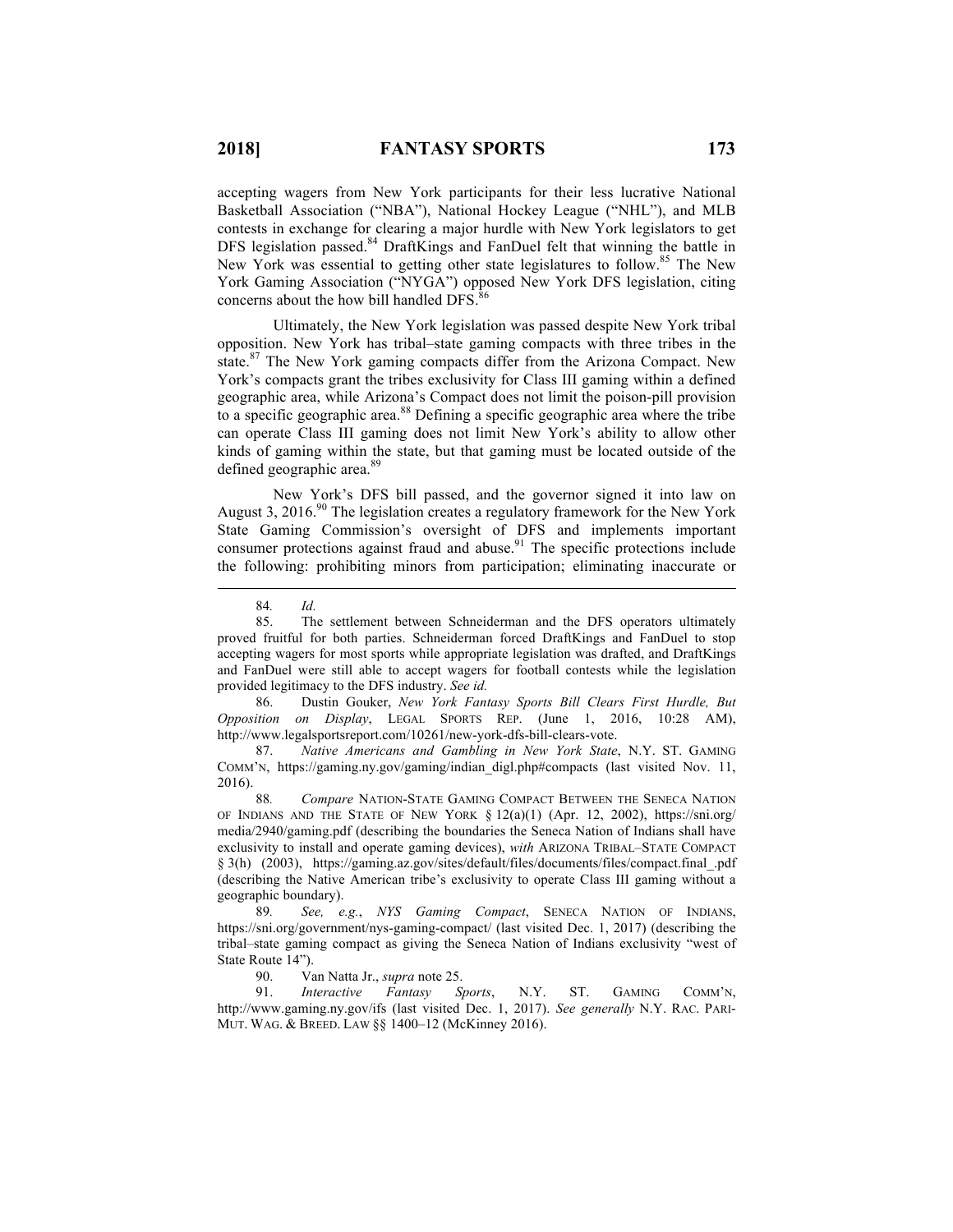accepting wagers from New York participants for their less lucrative National Basketball Association ("NBA"), National Hockey League ("NHL"), and MLB contests in exchange for clearing a major hurdle with New York legislators to get DFS legislation passed.<sup>84</sup> DraftKings and FanDuel felt that winning the battle in New York was essential to getting other state legislatures to follow. <sup>85</sup> The New York Gaming Association ("NYGA") opposed New York DFS legislation, citing concerns about the how bill handled DFS.<sup>86</sup>

Ultimately, the New York legislation was passed despite New York tribal opposition. New York has tribal–state gaming compacts with three tribes in the state.<sup>87</sup> The New York gaming compacts differ from the Arizona Compact. New York's compacts grant the tribes exclusivity for Class III gaming within a defined geographic area, while Arizona's Compact does not limit the poison-pill provision to a specific geographic area.<sup>88</sup> Defining a specific geographic area where the tribe can operate Class III gaming does not limit New York's ability to allow other kinds of gaming within the state, but that gaming must be located outside of the defined geographic area.<sup>89</sup>

New York's DFS bill passed, and the governor signed it into law on August 3, 2016.<sup>90</sup> The legislation creates a regulatory framework for the New York State Gaming Commission's oversight of DFS and implements important consumer protections against fraud and abuse.<sup>91</sup> The specific protections include the following: prohibiting minors from participation; eliminating inaccurate or

86. Dustin Gouker, *New York Fantasy Sports Bill Clears First Hurdle, But Opposition on Display*, LEGAL SPORTS REP. (June 1, 2016, 10:28 AM), http://www.legalsportsreport.com/10261/new-york-dfs-bill-clears-vote.

87. *Native Americans and Gambling in New York State*, N.Y. ST. GAMING COMM'N, https://gaming.ny.gov/gaming/indian\_digl.php#compacts (last visited Nov. 11, 2016).

88*. Compare* NATION-STATE GAMING COMPACT BETWEEN THE SENECA NATION OF INDIANS AND THE STATE OF NEW YORK § 12(a)(1) (Apr. 12, 2002), https://sni.org/ media/2940/gaming.pdf (describing the boundaries the Seneca Nation of Indians shall have exclusivity to install and operate gaming devices), *with* ARIZONA TRIBAL–STATE COMPACT § 3(h) (2003), https://gaming.az.gov/sites/default/files/documents/files/compact.final\_.pdf (describing the Native American tribe's exclusivity to operate Class III gaming without a geographic boundary).

89*. See, e.g.*, *NYS Gaming Compact*, SENECA NATION OF INDIANS, https://sni.org/government/nys-gaming-compact/ (last visited Dec. 1, 2017) (describing the tribal–state gaming compact as giving the Seneca Nation of Indians exclusivity "west of State Route 14").

90. Van Natta Jr., *supra* note 25.

91. *Interactive Fantasy Sports*, N.Y. ST. GAMING COMM'N, http://www.gaming.ny.gov/ifs (last visited Dec. 1, 2017). *See generally* N.Y. RAC. PARI-MUT. WAG. & BREED. LAW §§ 1400–12 (McKinney 2016).

 <sup>84</sup>*. Id.*

<sup>85.</sup> The settlement between Schneiderman and the DFS operators ultimately proved fruitful for both parties. Schneiderman forced DraftKings and FanDuel to stop accepting wagers for most sports while appropriate legislation was drafted, and DraftKings and FanDuel were still able to accept wagers for football contests while the legislation provided legitimacy to the DFS industry. *See id.*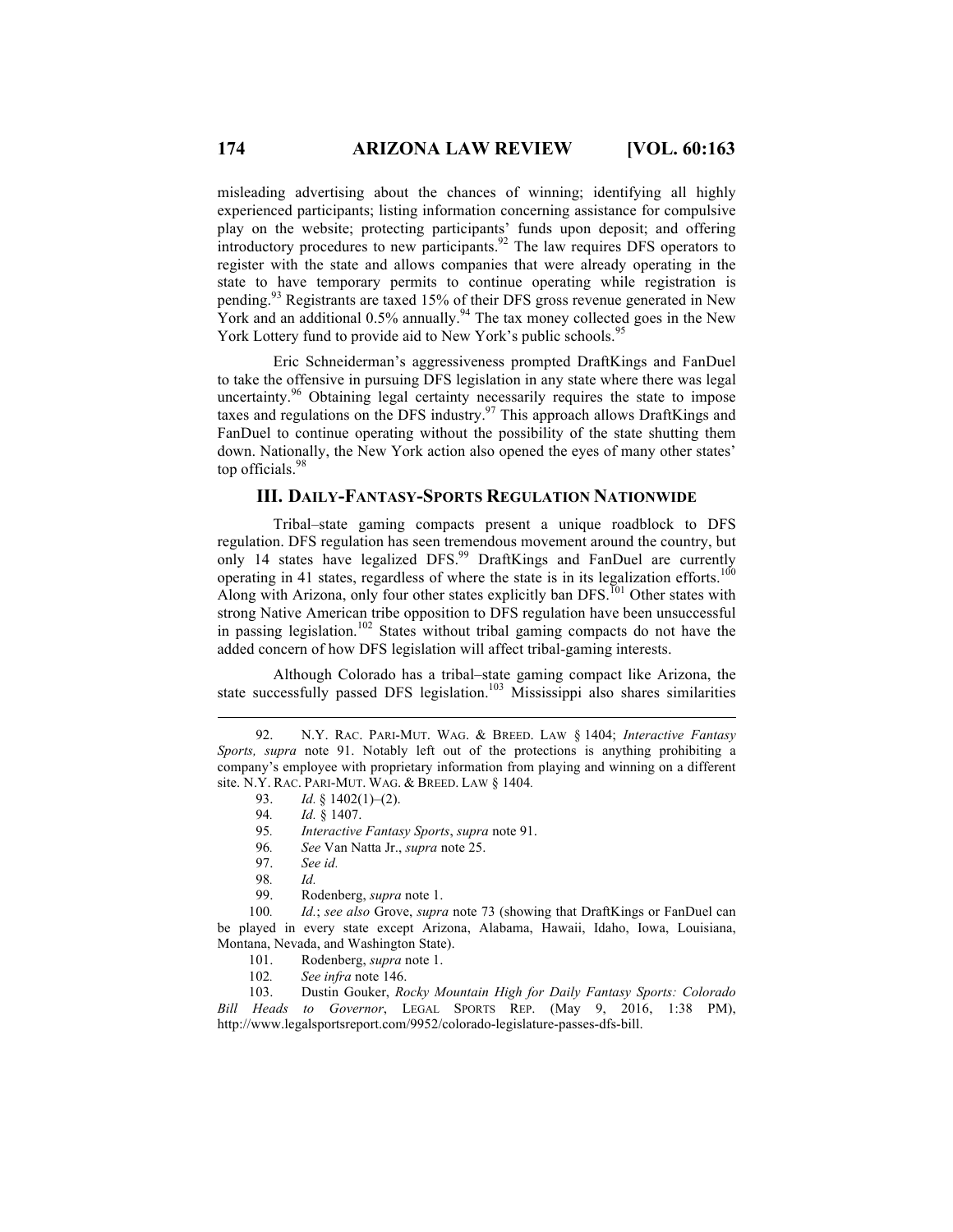misleading advertising about the chances of winning; identifying all highly experienced participants; listing information concerning assistance for compulsive play on the website; protecting participants' funds upon deposit; and offering introductory procedures to new participants.<sup>92</sup> The law requires DFS operators to register with the state and allows companies that were already operating in the state to have temporary permits to continue operating while registration is pending.<sup>93</sup> Registrants are taxed 15% of their DFS gross revenue generated in New York and an additional  $0.5\%$  annually.<sup>94</sup> The tax money collected goes in the New York Lottery fund to provide aid to New York's public schools.<sup>95</sup>

Eric Schneiderman's aggressiveness prompted DraftKings and FanDuel to take the offensive in pursuing DFS legislation in any state where there was legal uncertainty.<sup>96</sup> Obtaining legal certainty necessarily requires the state to impose taxes and regulations on the DFS industry.97 This approach allows DraftKings and FanDuel to continue operating without the possibility of the state shutting them down. Nationally, the New York action also opened the eyes of many other states' top officials.<sup>98</sup>

#### **III. DAILY-FANTASY-SPORTS REGULATION NATIONWIDE**

Tribal–state gaming compacts present a unique roadblock to DFS regulation. DFS regulation has seen tremendous movement around the country, but only 14 states have legalized DFS.<sup>99</sup> DraftKings and FanDuel are currently operating in 41 states, regardless of where the state is in its legalization efforts.<sup>100</sup> Along with Arizona, only four other states explicitly ban DFS.<sup>101</sup> Other states with strong Native American tribe opposition to DFS regulation have been unsuccessful in passing legislation.<sup>102</sup> States without tribal gaming compacts do not have the added concern of how DFS legislation will affect tribal-gaming interests.

Although Colorado has a tribal–state gaming compact like Arizona, the state successfully passed DFS legislation.<sup>103</sup> Mississippi also shares similarities

- 95*. Interactive Fantasy Sports*, *supra* note 91.
- 96*. See* Van Natta Jr., *supra* note 25.

- 98*. Id.*
- 99. Rodenberg, *supra* note 1.

100*. Id.*; *see also* Grove, *supra* note 73 (showing that DraftKings or FanDuel can be played in every state except Arizona, Alabama, Hawaii, Idaho, Iowa, Louisiana, Montana, Nevada, and Washington State).

- 101. Rodenberg, *supra* note 1.
- 102*. See infra* note 146.

103. Dustin Gouker, *Rocky Mountain High for Daily Fantasy Sports: Colorado Bill Heads to Governor*, LEGAL SPORTS REP. (May 9, 2016, 1:38 PM), http://www.legalsportsreport.com/9952/colorado-legislature-passes-dfs-bill.

 <sup>92.</sup> N.Y. RAC. PARI-MUT. WAG. & BREED. LAW § 1404; *Interactive Fantasy Sports, supra* note 91. Notably left out of the protections is anything prohibiting a company's employee with proprietary information from playing and winning on a different site. N.Y. RAC. PARI-MUT. WAG. & BREED. LAW § 1404*.*

<sup>93.</sup> *Id.* § 1402(1)–(2).

<sup>94</sup>*. Id.* § 1407.

<sup>97.</sup> *See id.*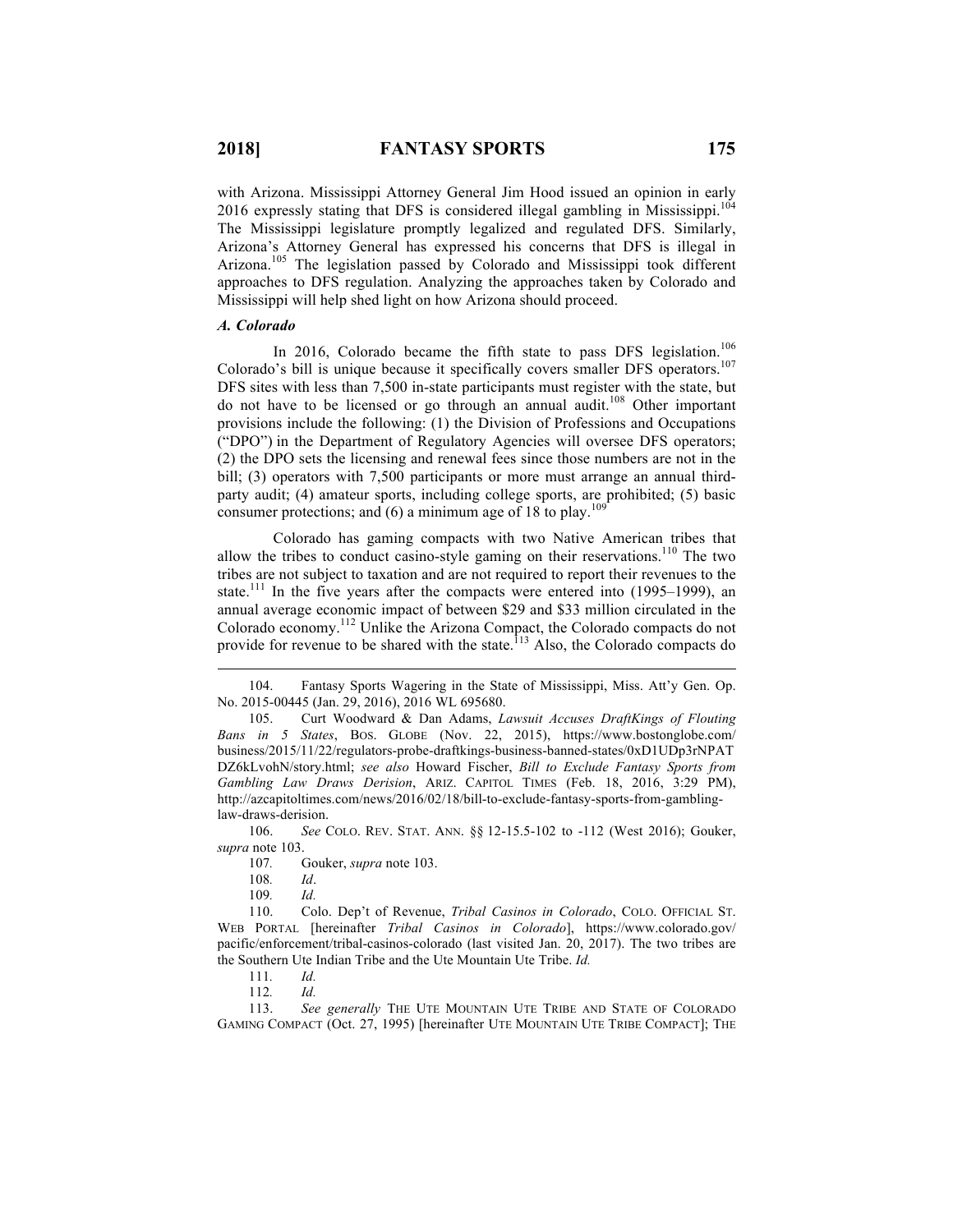with Arizona. Mississippi Attorney General Jim Hood issued an opinion in early 2016 expressly stating that DFS is considered illegal gambling in Mississippi.<sup>104</sup> The Mississippi legislature promptly legalized and regulated DFS. Similarly, Arizona's Attorney General has expressed his concerns that DFS is illegal in Arizona.<sup>105</sup> The legislation passed by Colorado and Mississippi took different approaches to DFS regulation. Analyzing the approaches taken by Colorado and Mississippi will help shed light on how Arizona should proceed.

#### *A. Colorado*

In 2016, Colorado became the fifth state to pass DFS legislation.<sup>106</sup> Colorado's bill is unique because it specifically covers smaller DFS operators.<sup>107</sup> DFS sites with less than 7,500 in-state participants must register with the state, but do not have to be licensed or go through an annual audit.<sup>108</sup> Other important provisions include the following: (1) the Division of Professions and Occupations ("DPO") in the Department of Regulatory Agencies will oversee DFS operators; (2) the DPO sets the licensing and renewal fees since those numbers are not in the bill; (3) operators with 7,500 participants or more must arrange an annual thirdparty audit; (4) amateur sports, including college sports, are prohibited; (5) basic consumer protections; and  $(6)$  a minimum age of 18 to play.<sup>10</sup>

Colorado has gaming compacts with two Native American tribes that allow the tribes to conduct casino-style gaming on their reservations.<sup>110</sup> The two tribes are not subject to taxation and are not required to report their revenues to the state.<sup>111</sup> In the five years after the compacts were entered into  $(1995-1999)$ , an annual average economic impact of between \$29 and \$33 million circulated in the Colorado economy.112 Unlike the Arizona Compact, the Colorado compacts do not provide for revenue to be shared with the state.<sup>113</sup> Also, the Colorado compacts do

106. *See* COLO. REV. STAT. ANN. §§ 12-15.5-102 to -112 (West 2016); Gouker, *supra* note 103.

107*.* Gouker, *supra* note 103.

108*. Id*.

109*. Id.*

110. Colo. Dep't of Revenue, *Tribal Casinos in Colorado*, COLO. OFFICIAL ST. WEB PORTAL [hereinafter *Tribal Casinos in Colorado*], https://www.colorado.gov/ pacific/enforcement/tribal-casinos-colorado (last visited Jan. 20, 2017). The two tribes are the Southern Ute Indian Tribe and the Ute Mountain Ute Tribe. *Id.*

111*. Id.*

112*. Id.*

113. *See generally* THE UTE MOUNTAIN UTE TRIBE AND STATE OF COLORADO GAMING COMPACT (Oct. 27, 1995) [hereinafter UTE MOUNTAIN UTE TRIBE COMPACT]; THE

 <sup>104.</sup> Fantasy Sports Wagering in the State of Mississippi, Miss. Att'y Gen. Op. No. 2015-00445 (Jan. 29, 2016), 2016 WL 695680.

<sup>105.</sup> Curt Woodward & Dan Adams, *Lawsuit Accuses DraftKings of Flouting Bans in 5 States*, BOS. GLOBE (Nov. 22, 2015), https://www.bostonglobe.com/ business/2015/11/22/regulators-probe-draftkings-business-banned-states/0xD1UDp3rNPAT DZ6kLvohN/story.html; *see also* Howard Fischer, *Bill to Exclude Fantasy Sports from Gambling Law Draws Derision*, ARIZ. CAPITOL TIMES (Feb. 18, 2016, 3:29 PM), http://azcapitoltimes.com/news/2016/02/18/bill-to-exclude-fantasy-sports-from-gamblinglaw-draws-derision.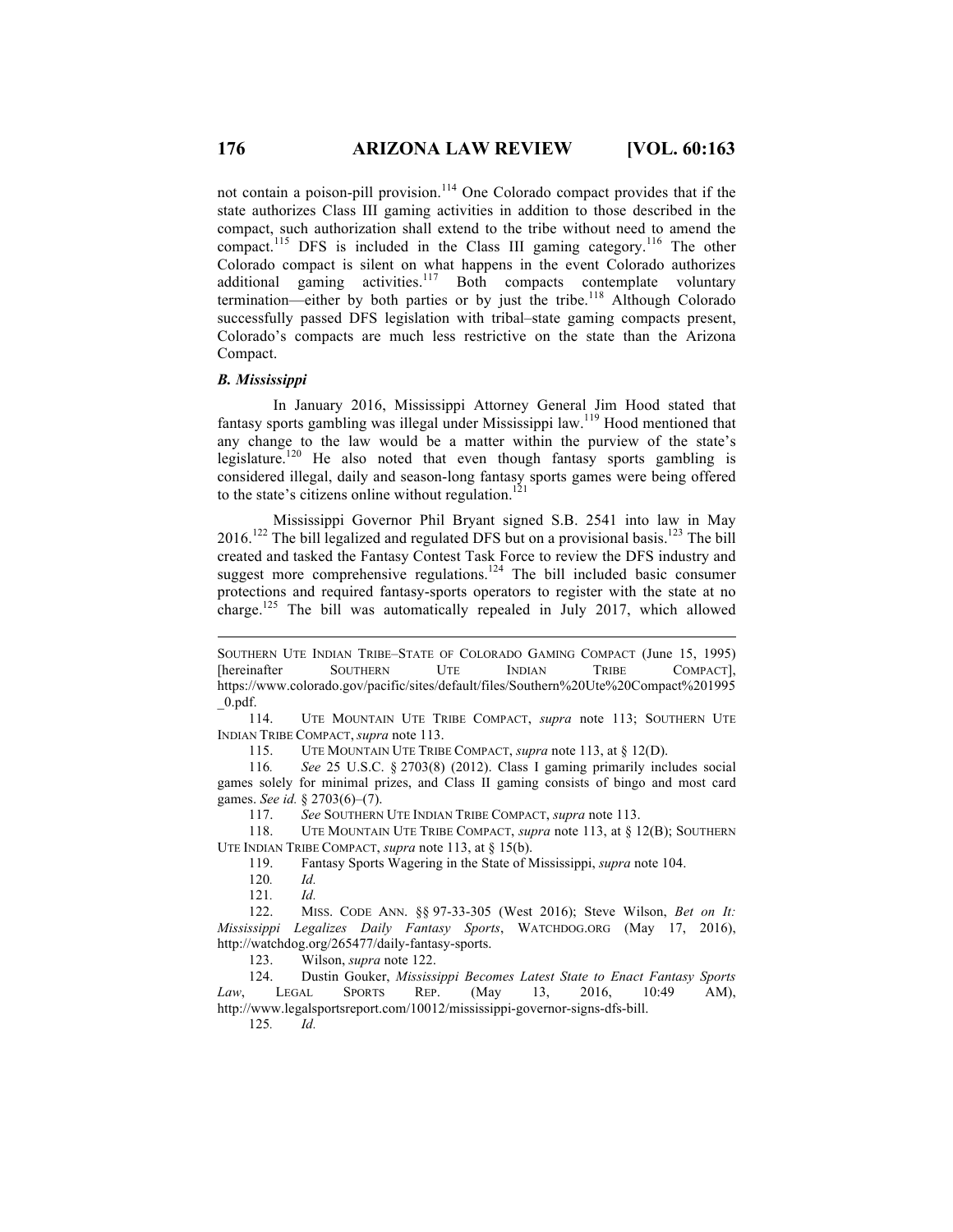not contain a poison-pill provision.<sup>114</sup> One Colorado compact provides that if the state authorizes Class III gaming activities in addition to those described in the compact, such authorization shall extend to the tribe without need to amend the compact.<sup>115</sup> DFS is included in the Class III gaming category.<sup>116</sup> The other Colorado compact is silent on what happens in the event Colorado authorizes additional gaming activities.<sup>117</sup> Both compacts contemplate voluntary termination—either by both parties or by just the tribe.<sup>118</sup> Although Colorado successfully passed DFS legislation with tribal–state gaming compacts present, Colorado's compacts are much less restrictive on the state than the Arizona Compact.

## *B. Mississippi*

In January 2016, Mississippi Attorney General Jim Hood stated that fantasy sports gambling was illegal under Mississippi law.<sup>119</sup> Hood mentioned that any change to the law would be a matter within the purview of the state's legislature.<sup>120</sup> He also noted that even though fantasy sports gambling is considered illegal, daily and season-long fantasy sports games were being offered to the state's citizens online without regulation.<sup>1</sup>

Mississippi Governor Phil Bryant signed S.B. 2541 into law in May 2016.<sup>122</sup> The bill legalized and regulated DFS but on a provisional basis.123 The bill created and tasked the Fantasy Contest Task Force to review the DFS industry and suggest more comprehensive regulations.<sup>124</sup> The bill included basic consumer protections and required fantasy-sports operators to register with the state at no charge.<sup>125</sup> The bill was automatically repealed in July 2017, which allowed

114. UTE MOUNTAIN UTE TRIBE COMPACT, *supra* note 113; SOUTHERN UTE INDIAN TRIBE COMPACT, *supra* note 113.

115. UTE MOUNTAIN UTE TRIBE COMPACT, *supra* note 113, at § 12(D).

116*. See* 25 U.S.C. § 2703(8) (2012). Class I gaming primarily includes social games solely for minimal prizes, and Class II gaming consists of bingo and most card games. *See id.* § 2703(6)–(7).

117. *See* SOUTHERN UTE INDIAN TRIBE COMPACT, *supra* note 113.

118. UTE MOUNTAIN UTE TRIBE COMPACT, *supra* note 113, at § 12(B); SOUTHERN UTE INDIAN TRIBE COMPACT, *supra* note 113, at § 15(b).

119. Fantasy Sports Wagering in the State of Mississippi, *supra* note 104.

120*. Id.*

121*. Id.*

122. MISS. CODE ANN. §§ 97-33-305 (West 2016); Steve Wilson, *Bet on It: Mississippi Legalizes Daily Fantasy Sports*, WATCHDOG.ORG (May 17, 2016), http://watchdog.org/265477/daily-fantasy-sports.

123. Wilson, *supra* note 122.

124. Dustin Gouker, *Mississippi Becomes Latest State to Enact Fantasy Sports Law*, LEGAL SPORTS REP. (May 13, 2016, 10:49 AM), http://www.legalsportsreport.com/10012/mississippi-governor-signs-dfs-bill.

125*. Id.*

SOUTHERN UTE INDIAN TRIBE–STATE OF COLORADO GAMING COMPACT (June 15, 1995) [hereinafter SOUTHERN UTE INDIAN TRIBE COMPACT], https://www.colorado.gov/pacific/sites/default/files/Southern%20Ute%20Compact%201995 \_0.pdf.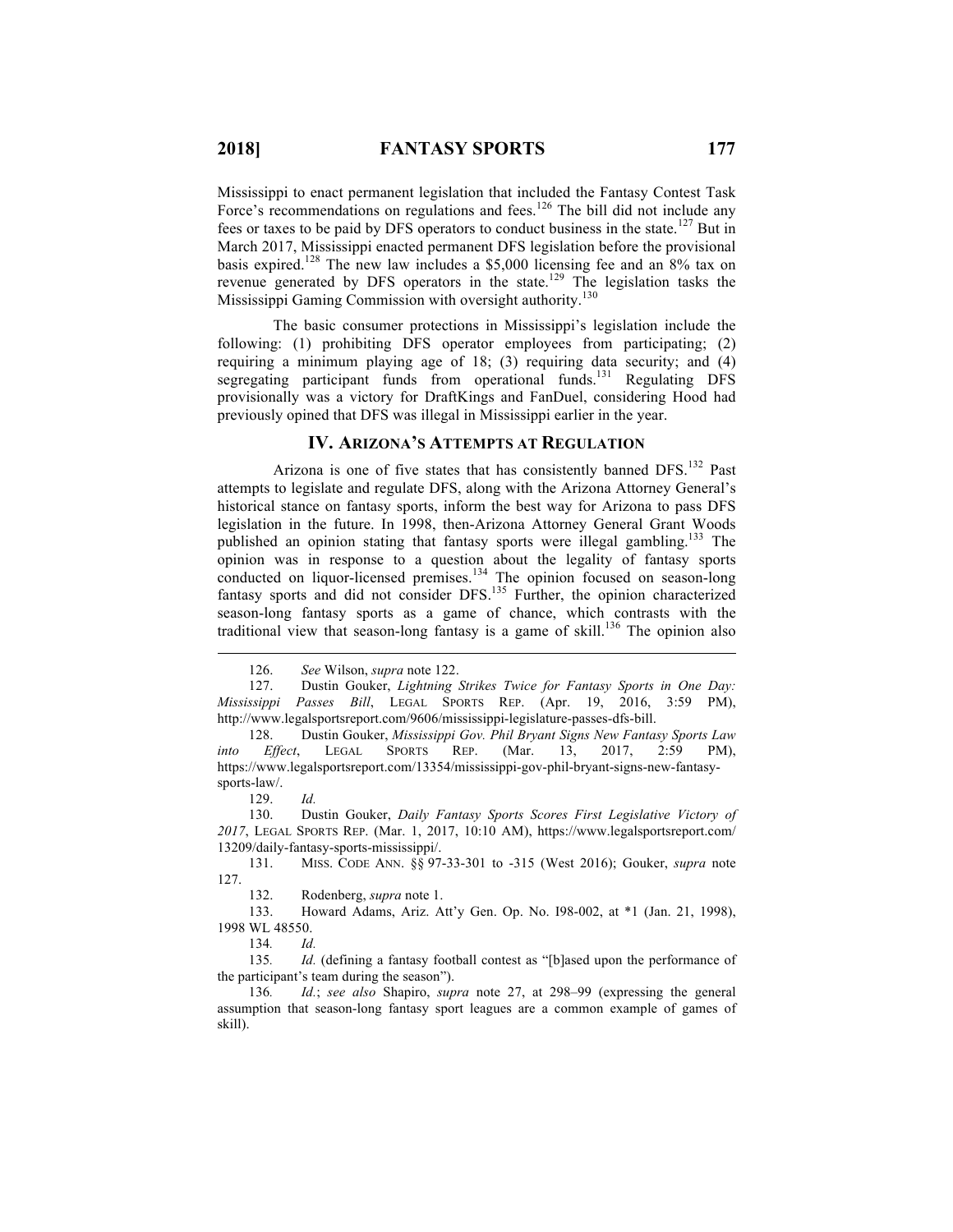Mississippi to enact permanent legislation that included the Fantasy Contest Task Force's recommendations on regulations and fees.<sup>126</sup> The bill did not include any fees or taxes to be paid by DFS operators to conduct business in the state.<sup>127</sup> But in March 2017, Mississippi enacted permanent DFS legislation before the provisional basis expired.<sup>128</sup> The new law includes a \$5,000 licensing fee and an 8% tax on revenue generated by DFS operators in the state.<sup>129</sup> The legislation tasks the Mississippi Gaming Commission with oversight authority.<sup>130</sup>

The basic consumer protections in Mississippi's legislation include the following: (1) prohibiting DFS operator employees from participating; (2) requiring a minimum playing age of 18; (3) requiring data security; and (4) segregating participant funds from operational funds.<sup>131</sup> Regulating DFS provisionally was a victory for DraftKings and FanDuel, considering Hood had previously opined that DFS was illegal in Mississippi earlier in the year.

#### **IV. ARIZONA'S ATTEMPTS AT REGULATION**

Arizona is one of five states that has consistently banned DFS.<sup>132</sup> Past attempts to legislate and regulate DFS, along with the Arizona Attorney General's historical stance on fantasy sports, inform the best way for Arizona to pass DFS legislation in the future. In 1998, then-Arizona Attorney General Grant Woods published an opinion stating that fantasy sports were illegal gambling.<sup>133</sup> The opinion was in response to a question about the legality of fantasy sports conducted on liquor-licensed premises.<sup>134</sup> The opinion focused on season-long fantasy sports and did not consider DFS.<sup>135</sup> Further, the opinion characterized season-long fantasy sports as a game of chance, which contrasts with the traditional view that season-long fantasy is a game of skill.<sup>136</sup> The opinion also

129. *Id.*

131. MISS. CODE ANN. §§ 97-33-301 to -315 (West 2016); Gouker, *supra* note 127.

132. Rodenberg, *supra* note 1.

133. Howard Adams, Ariz. Att'y Gen. Op. No. I98-002, at \*1 (Jan. 21, 1998), 1998 WL 48550.

134*. Id.*

135*. Id.* (defining a fantasy football contest as "[b]ased upon the performance of the participant's team during the season").

136*. Id.*; *see also* Shapiro, *supra* note 27, at 298–99 (expressing the general assumption that season-long fantasy sport leagues are a common example of games of skill).

 <sup>126.</sup> *See* Wilson, *supra* note 122.

<sup>127.</sup> Dustin Gouker, *Lightning Strikes Twice for Fantasy Sports in One Day: Mississippi Passes Bill*, LEGAL SPORTS REP. (Apr. 19, 2016, 3:59 PM), http://www.legalsportsreport.com/9606/mississippi-legislature-passes-dfs-bill.

<sup>128.</sup> Dustin Gouker, *Mississippi Gov. Phil Bryant Signs New Fantasy Sports Law into Effect*, LEGAL SPORTS REP. (Mar. 13, 2017, 2:59 PM), https://www.legalsportsreport.com/13354/mississippi-gov-phil-bryant-signs-new-fantasysports-law/.

<sup>130.</sup> Dustin Gouker, *Daily Fantasy Sports Scores First Legislative Victory of 2017*, LEGAL SPORTS REP. (Mar. 1, 2017, 10:10 AM), https://www.legalsportsreport.com/ 13209/daily-fantasy-sports-mississippi/.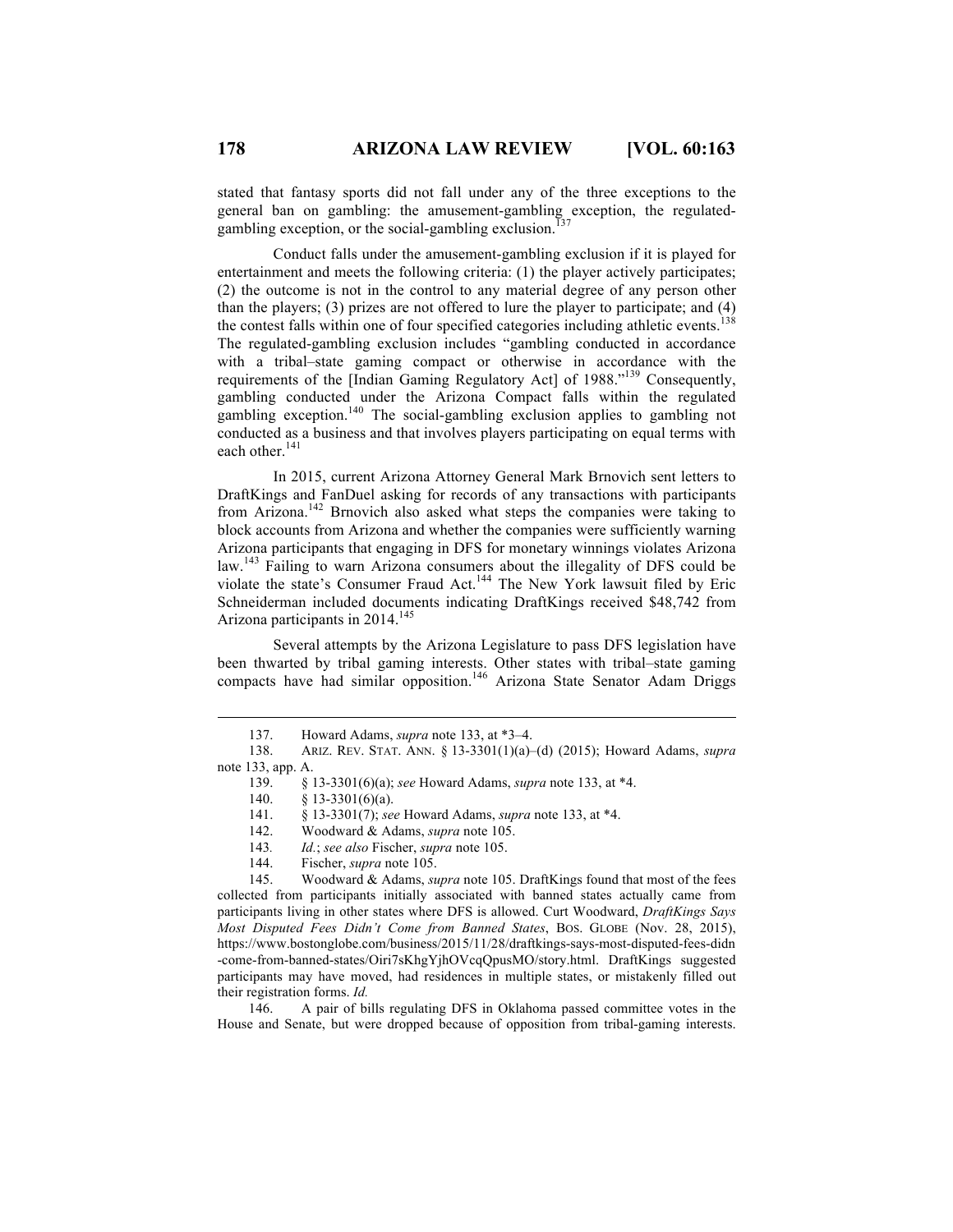stated that fantasy sports did not fall under any of the three exceptions to the general ban on gambling: the amusement-gambling exception, the regulatedgambling exception, or the social-gambling exclusion.<sup>137</sup>

Conduct falls under the amusement-gambling exclusion if it is played for entertainment and meets the following criteria: (1) the player actively participates; (2) the outcome is not in the control to any material degree of any person other (2) the outcome is not in the control to any material  $\epsilon$ .<br>than the players; (3) prizes are not offered to lure the player to participate; and (4) the contest falls within one of four specified categories including athletic events. The regulated-gambling exclusion includes "gambling conducted in accordance with a tribal–state gaming compact or otherwise in accordance with the requirements of the [Indian Gaming Regulatory Act] of 1988."<sup>139</sup> Consequently, gambling conducted under the Arizona Compact falls within the regulated gambling exception.<sup>140</sup> The social-gambling exclusion applies to gambling not conducted as a business and that involves players participating on equal terms with each other.<sup>141</sup>

In 2015, current Arizona Attorney General Mark Brnovich sent letters to DraftKings and FanDuel asking for records of any transactions with participants from Arizona.142 Brnovich also asked what steps the companies were taking to block accounts from Arizona and whether the companies were sufficiently warning Arizona participants that engaging in DFS for monetary winnings violates Arizona law.<sup>143</sup> Failing to warn Arizona consumers about the illegality of DFS could be violate the state's Consumer Fraud Act.<sup>144</sup> The New York lawsuit filed by Eric Schneiderman included documents indicating DraftKings received \$48,742 from Arizona participants in 2014.<sup>145</sup>

Several attempts by the Arizona Legislature to pass DFS legislation have been thwarted by tribal gaming interests. Other states with tribal–state gaming compacts have had similar opposition.<sup>146</sup> Arizona State Senator Adam Driggs

143*. Id.*; *see also* Fischer, *supra* note 105.

146. A pair of bills regulating DFS in Oklahoma passed committee votes in the House and Senate, but were dropped because of opposition from tribal-gaming interests.

 <sup>137.</sup> Howard Adams, *supra* note 133, at \*3–4.

<sup>138.</sup> ARIZ. REV. STAT. ANN. § 13-3301(1)(a)–(d) (2015); Howard Adams, *supra*  note 133, app. A.

<sup>139.</sup> § 13-3301(6)(a); *see* Howard Adams, *supra* note 133, at \*4.

<sup>140. § 13-3301(6)(</sup>a).

<sup>141.</sup> § 13-3301(7); *see* Howard Adams, *supra* note 133, at \*4.

<sup>142.</sup> Woodward & Adams, *supra* note 105.

<sup>144.</sup> Fischer, *supra* note 105.

<sup>145.</sup> Woodward & Adams, *supra* note 105. DraftKings found that most of the fees collected from participants initially associated with banned states actually came from participants living in other states where DFS is allowed. Curt Woodward, *DraftKings Says Most Disputed Fees Didn't Come from Banned States*, BOS. GLOBE (Nov. 28, 2015), https://www.bostonglobe.com/business/2015/11/28/draftkings-says-most-disputed-fees-didn -come-from-banned-states/Oiri7sKhgYjhOVcqQpusMO/story.html. DraftKings suggested participants may have moved, had residences in multiple states, or mistakenly filled out their registration forms. *Id.*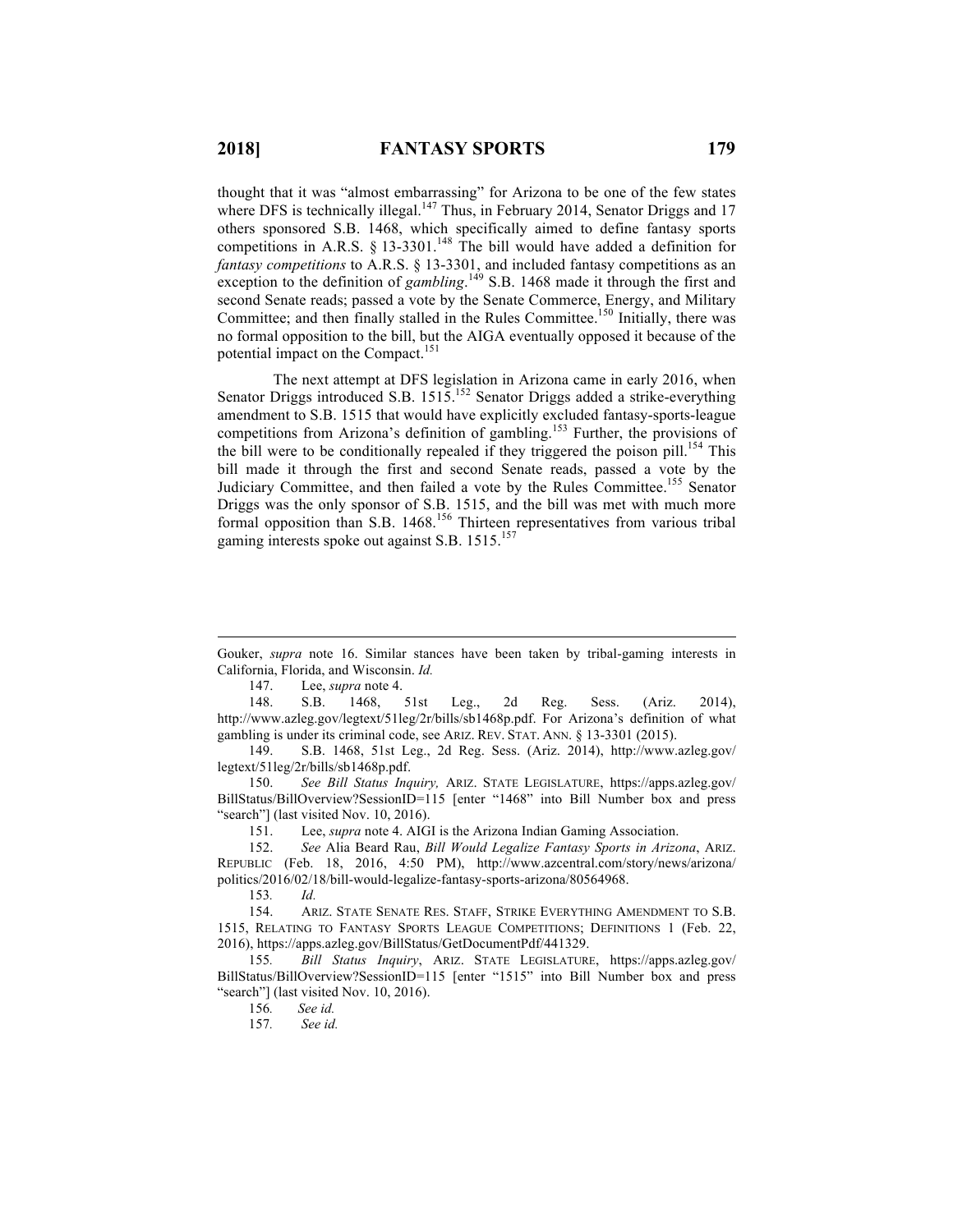thought that it was "almost embarrassing" for Arizona to be one of the few states where DFS is technically illegal.<sup>147</sup> Thus, in February 2014, Senator Driggs and 17 others sponsored S.B. 1468, which specifically aimed to define fantasy sports competitions in A.R.S.  $\S$  13-3301.<sup>148</sup> The bill would have added a definition for *fantasy competitions* to A.R.S. § 13-3301, and included fantasy competitions as an exception to the definition of *gambling*.<sup>149</sup> S.B. 1468 made it through the first and second Senate reads; passed a vote by the Senate Commerce, Energy, and Military Committee; and then finally stalled in the Rules Committee.<sup>150</sup> Initially, there was no formal opposition to the bill, but the AIGA eventually opposed it because of the potential impact on the Compact.<sup>151</sup>

The next attempt at DFS legislation in Arizona came in early 2016, when Senator Driggs introduced S.B. 1515.<sup>152</sup> Senator Driggs added a strike-everything amendment to S.B. 1515 that would have explicitly excluded fantasy-sports-league competitions from Arizona's definition of gambling.<sup>153</sup> Further, the provisions of the bill were to be conditionally repealed if they triggered the poison pill.<sup>154</sup> This bill made it through the first and second Senate reads, passed a vote by the Judiciary Committee, and then failed a vote by the Rules Committee.<sup>155</sup> Senator Driggs was the only sponsor of S.B. 1515, and the bill was met with much more formal opposition than S.B. 1468.<sup>156</sup> Thirteen representatives from various tribal gaming interests spoke out against S.B. 1515.157

147. Lee, *supra* note 4.

148. S.B. 1468, 51st Leg., 2d Reg. Sess. (Ariz. 2014), http://www.azleg.gov/legtext/51leg/2r/bills/sb1468p.pdf. For Arizona's definition of what gambling is under its criminal code, see ARIZ. REV. STAT. ANN. § 13-3301 (2015).

149. S.B. 1468, 51st Leg., 2d Reg. Sess. (Ariz. 2014), http://www.azleg.gov/ legtext/51leg/2r/bills/sb1468p.pdf.

150. *See Bill Status Inquiry,* ARIZ. STATE LEGISLATURE, https://apps.azleg.gov/ BillStatus/BillOverview?SessionID=115 [enter "1468" into Bill Number box and press "search"] (last visited Nov. 10, 2016).

151. Lee, *supra* note 4. AIGI is the Arizona Indian Gaming Association.

152. *See* Alia Beard Rau, *Bill Would Legalize Fantasy Sports in Arizona*, ARIZ. REPUBLIC (Feb. 18, 2016, 4:50 PM), http://www.azcentral.com/story/news/arizona/ politics/2016/02/18/bill-would-legalize-fantasy-sports-arizona/80564968.

153*. Id.*

154. ARIZ. STATE SENATE RES. STAFF, STRIKE EVERYTHING AMENDMENT TO S.B. 1515, RELATING TO FANTASY SPORTS LEAGUE COMPETITIONS; DEFINITIONS 1 (Feb. 22, 2016), https://apps.azleg.gov/BillStatus/GetDocumentPdf/441329.

155*. Bill Status Inquiry*, ARIZ. STATE LEGISLATURE, https://apps.azleg.gov/ BillStatus/BillOverview?SessionID=115 [enter "1515" into Bill Number box and press "search"] (last visited Nov. 10, 2016).

156*. See id.*

157*. See id.*

Gouker, *supra* note 16. Similar stances have been taken by tribal-gaming interests in California, Florida, and Wisconsin. *Id.*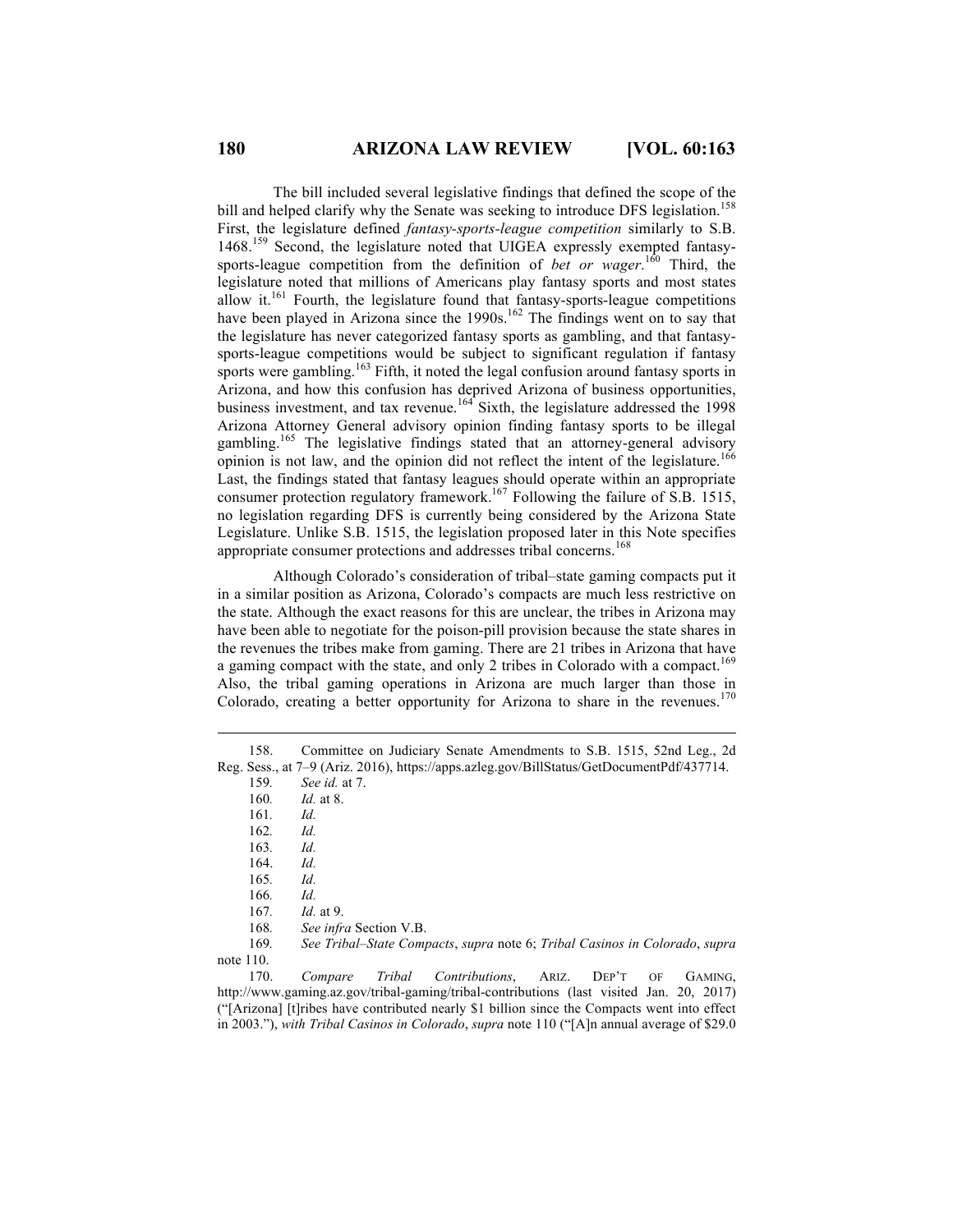The bill included several legislative findings that defined the scope of the bill and helped clarify why the Senate was seeking to introduce DFS legislation.<sup>158</sup> First, the legislature defined *fantasy-sports-league competition* similarly to S.B. 1468.<sup>159</sup> Second, the legislature noted that UIGEA expressly exempted fantasysports-league competition from the definition of *bet or wager*. <sup>160</sup> Third, the legislature noted that millions of Americans play fantasy sports and most states allow it.<sup>161</sup> Fourth, the legislature found that fantasy-sports-league competitions have been played in Arizona since the  $1990s$ .<sup>162</sup> The findings went on to say that the legislature has never categorized fantasy sports as gambling, and that fantasysports-league competitions would be subject to significant regulation if fantasy sports were gambling.<sup>163</sup> Fifth, it noted the legal confusion around fantasy sports in Arizona, and how this confusion has deprived Arizona of business opportunities, business investment, and tax revenue.<sup>164</sup> Sixth, the legislature addressed the 1998 Arizona Attorney General advisory opinion finding fantasy sports to be illegal gambling.<sup>165</sup> The legislative findings stated that an attorney-general advisory opinion is not law, and the opinion did not reflect the intent of the legislature.<sup>166</sup> Last, the findings stated that fantasy leagues should operate within an appropriate consumer protection regulatory framework.<sup>167</sup> Following the failure of S.B. 1515, no legislation regarding DFS is currently being considered by the Arizona State Legislature. Unlike S.B. 1515, the legislation proposed later in this Note specifies appropriate consumer protections and addresses tribal concerns.<sup>168</sup>

Although Colorado's consideration of tribal–state gaming compacts put it in a similar position as Arizona, Colorado's compacts are much less restrictive on the state. Although the exact reasons for this are unclear, the tribes in Arizona may have been able to negotiate for the poison-pill provision because the state shares in the revenues the tribes make from gaming. There are 21 tribes in Arizona that have a gaming compact with the state, and only 2 tribes in Colorado with a compact.<sup>169</sup> Also, the tribal gaming operations in Arizona are much larger than those in Colorado, creating a better opportunity for Arizona to share in the revenues.<sup>170</sup>

164. *Id.*

166*. Id.*

168*. See infra* Section V.B.

169*. See Tribal–State Compacts*, *supra* note 6; *Tribal Casinos in Colorado*, *supra* note 110.

170. *Compare Tribal Contributions*, ARIZ. DEP'T OF GAMING, http://www.gaming.az.gov/tribal-gaming/tribal-contributions (last visited Jan. 20, 2017) ("[Arizona] [t]ribes have contributed nearly \$1 billion since the Compacts went into effect in 2003."), *with Tribal Casinos in Colorado*, *supra* note 110 ("[A]n annual average of \$29.0

 <sup>158.</sup> Committee on Judiciary Senate Amendments to S.B. 1515, 52nd Leg., 2d Reg. Sess., at 7–9 (Ariz. 2016), https://apps.azleg.gov/BillStatus/GetDocumentPdf/437714. 159*. See id.* at 7.

<sup>160</sup>*. Id.* at 8.

<sup>161</sup>*. Id.*

<sup>162</sup>*. Id.*

<sup>163</sup>*. Id.*

<sup>165</sup>*. Id.*

<sup>167</sup>*. Id.* at 9.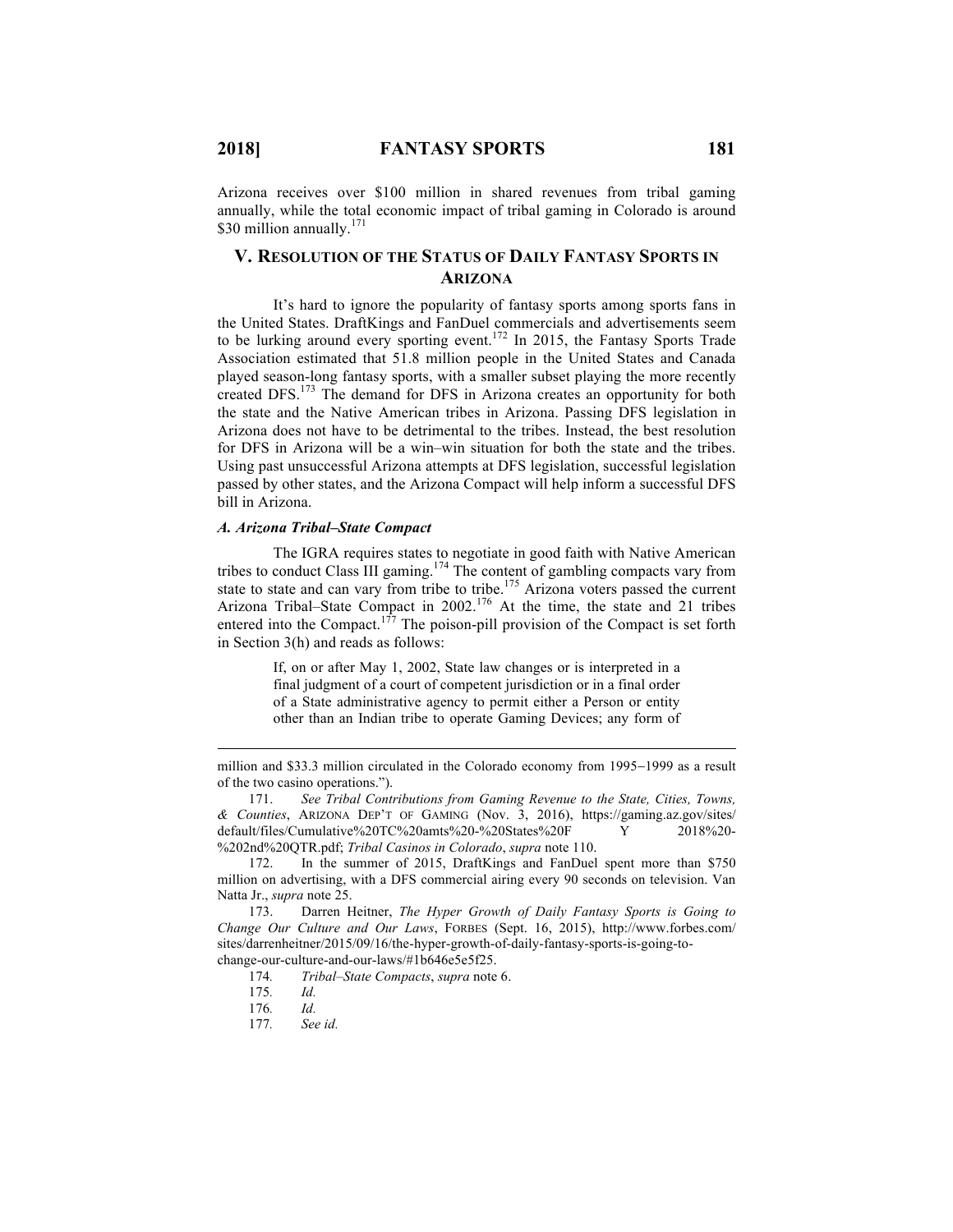Arizona receives over \$100 million in shared revenues from tribal gaming annually, while the total economic impact of tribal gaming in Colorado is around \$30 million annually.<sup>171</sup>

# **V. RESOLUTION OF THE STATUS OF DAILY FANTASY SPORTS IN ARIZONA**

It's hard to ignore the popularity of fantasy sports among sports fans in the United States. DraftKings and FanDuel commercials and advertisements seem to be lurking around every sporting event.<sup>172</sup> In 2015, the Fantasy Sports Trade Association estimated that 51.8 million people in the United States and Canada played season-long fantasy sports, with a smaller subset playing the more recently created DFS.<sup>173</sup> The demand for DFS in Arizona creates an opportunity for both the state and the Native American tribes in Arizona. Passing DFS legislation in Arizona does not have to be detrimental to the tribes. Instead, the best resolution for DFS in Arizona will be a win–win situation for both the state and the tribes. Using past unsuccessful Arizona attempts at DFS legislation, successful legislation passed by other states, and the Arizona Compact will help inform a successful DFS bill in Arizona.

#### *A. Arizona Tribal–State Compact*

The IGRA requires states to negotiate in good faith with Native American tribes to conduct Class III gaming.<sup>174</sup> The content of gambling compacts vary from state to state and can vary from tribe to tribe.<sup>175</sup> Arizona voters passed the current Arizona Tribal–State Compact in 2002.<sup>176</sup> At the time, the state and 21 tribes entered into the Compact.<sup>177</sup> The poison-pill provision of the Compact is set forth in Section 3(h) and reads as follows:

> If, on or after May 1, 2002, State law changes or is interpreted in a final judgment of a court of competent jurisdiction or in a final order of a State administrative agency to permit either a Person or entity other than an Indian tribe to operate Gaming Devices; any form of

million and \$33.3 million circulated in the Colorado economy from 1995-1999 as a result of the two casino operations.").

<sup>171.</sup> *See Tribal Contributions from Gaming Revenue to the State, Cities, Towns, & Counties*, ARIZONA DEP'T OF GAMING (Nov. 3, 2016), https://gaming.az.gov/sites/ default/files/Cumulative%20TC%20amts%20-%20States%20F Y 2018%20- %202nd%20QTR.pdf; *Tribal Casinos in Colorado*, *supra* note 110.

<sup>172.</sup> In the summer of 2015, DraftKings and FanDuel spent more than \$750 million on advertising, with a DFS commercial airing every 90 seconds on television. Van Natta Jr., *supra* note 25.

<sup>173.</sup> Darren Heitner, *The Hyper Growth of Daily Fantasy Sports is Going to Change Our Culture and Our Laws*, FORBES (Sept. 16, 2015), http://www.forbes.com/ sites/darrenheitner/2015/09/16/the-hyper-growth-of-daily-fantasy-sports-is-going-tochange-our-culture-and-our-laws/#1b646e5e5f25.

<sup>174</sup>*. Tribal–State Compacts*, *supra* note 6.

<sup>175</sup>*. Id.*

<sup>176</sup>*. Id.*

<sup>177</sup>*. See id.*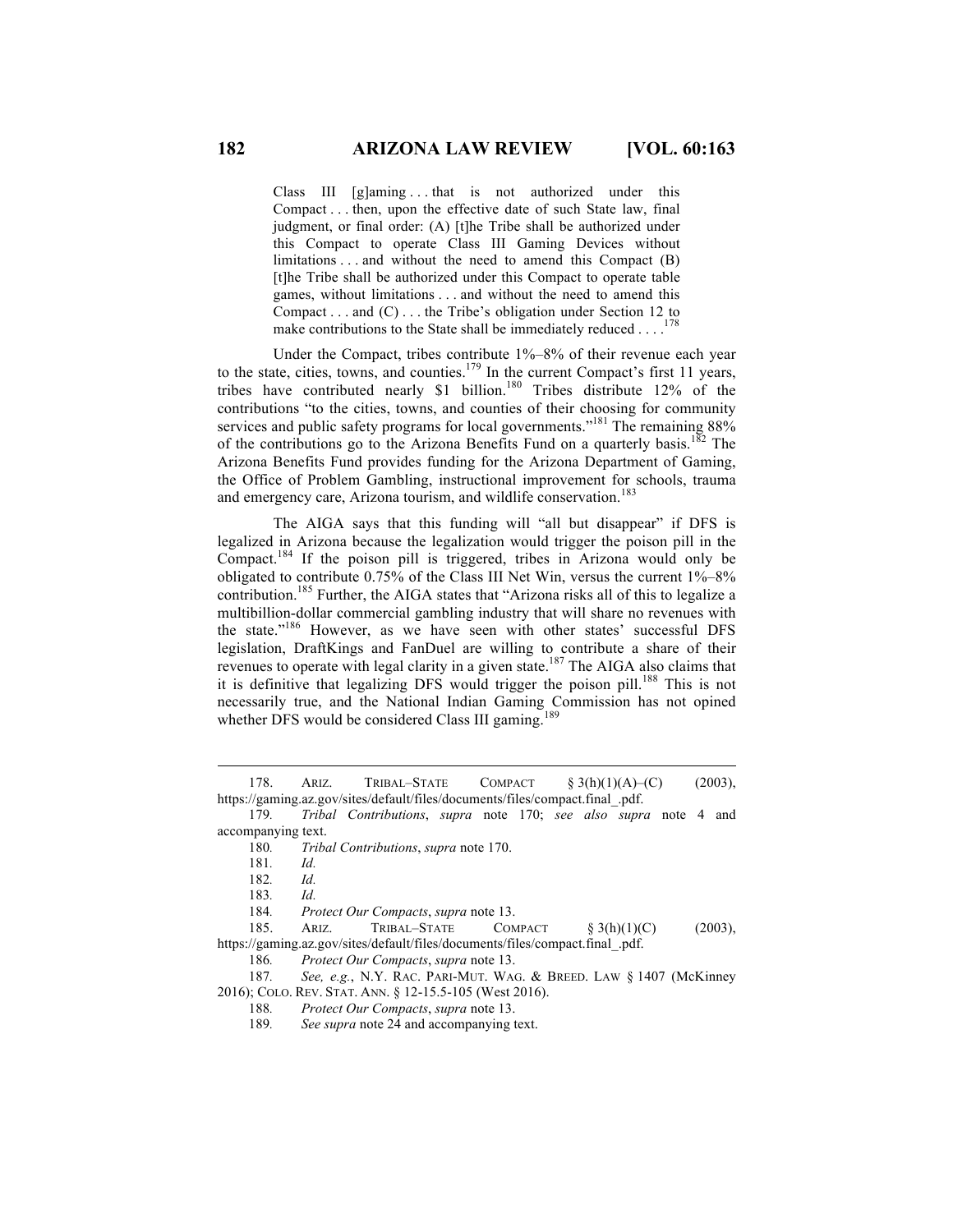Class III [g]aming ... that is not authorized under this Compact . . . then, upon the effective date of such State law, final judgment, or final order: (A) [t]he Tribe shall be authorized under this Compact to operate Class III Gaming Devices without limitations . . . and without the need to amend this Compact (B) [t]he Tribe shall be authorized under this Compact to operate table games, without limitations . . . and without the need to amend this Compact . . . and (C) . . . the Tribe's obligation under Section 12 to make contributions to the State shall be immediately reduced . . . .<sup>178</sup>

Under the Compact, tribes contribute 1%–8% of their revenue each year to the state, cities, towns, and counties.<sup>179</sup> In the current Compact's first 11 years, tribes have contributed nearly  $$1$  billion.<sup>180</sup> Tribes distribute 12% of the contributions "to the cities, towns, and counties of their choosing for community services and public safety programs for local governments."<sup>181</sup> The remaining 88% of the contributions go to the Arizona Benefits Fund on a quarterly basis.<sup>182</sup> The Arizona Benefits Fund provides funding for the Arizona Department of Gaming, the Office of Problem Gambling, instructional improvement for schools, trauma and emergency care, Arizona tourism, and wildlife conservation.<sup>183</sup>

The AIGA says that this funding will "all but disappear" if DFS is legalized in Arizona because the legalization would trigger the poison pill in the Compact.<sup>184</sup> If the poison pill is triggered, tribes in Arizona would only be obligated to contribute 0.75% of the Class III Net Win, versus the current 1%–8% contribution.<sup>185</sup> Further, the AIGA states that "Arizona risks all of this to legalize a multibillion-dollar commercial gambling industry that will share no revenues with the state."<sup>186</sup> However, as we have seen with other states' successful DFS legislation, DraftKings and FanDuel are willing to contribute a share of their revenues to operate with legal clarity in a given state.<sup>187</sup> The AIGA also claims that it is definitive that legalizing DFS would trigger the poison pill.<sup>188</sup> This is not necessarily true, and the National Indian Gaming Commission has not opined whether DFS would be considered Class III gaming.<sup>189</sup>

<sup>178.</sup> ARIZ. TRIBAL–STATE COMPACT  $\S 3(h)(1)(A)$ –(C) (2003), https://gaming.az.gov/sites/default/files/documents/files/compact.final\_.pdf.

<sup>179</sup>*. Tribal Contributions*, *supra* note 170; *see also supra* note 4 and accompanying text.

<sup>180</sup>*. Tribal Contributions*, *supra* note 170.

<sup>181</sup>*. Id.*

<sup>182</sup>*. Id.*

<sup>183</sup>*. Id.*

<sup>184</sup>*. Protect Our Compacts*, *supra* note 13.

<sup>185.</sup> ARIZ. TRIBAL–STATE COMPACT  $\S 3(h)(1)(C)$  (2003), https://gaming.az.gov/sites/default/files/documents/files/compact.final\_.pdf.

<sup>186</sup>*. Protect Our Compacts*, *supra* note 13.

<sup>187</sup>*. See, e.g.*, N.Y. RAC. PARI-MUT. WAG. & BREED. LAW § 1407 (McKinney

<sup>2016);</sup> COLO. REV. STAT. ANN. § 12-15.5-105 (West 2016).

<sup>188</sup>*. Protect Our Compacts*, *supra* note 13.

<sup>189</sup>*. See supra* note 24 and accompanying text.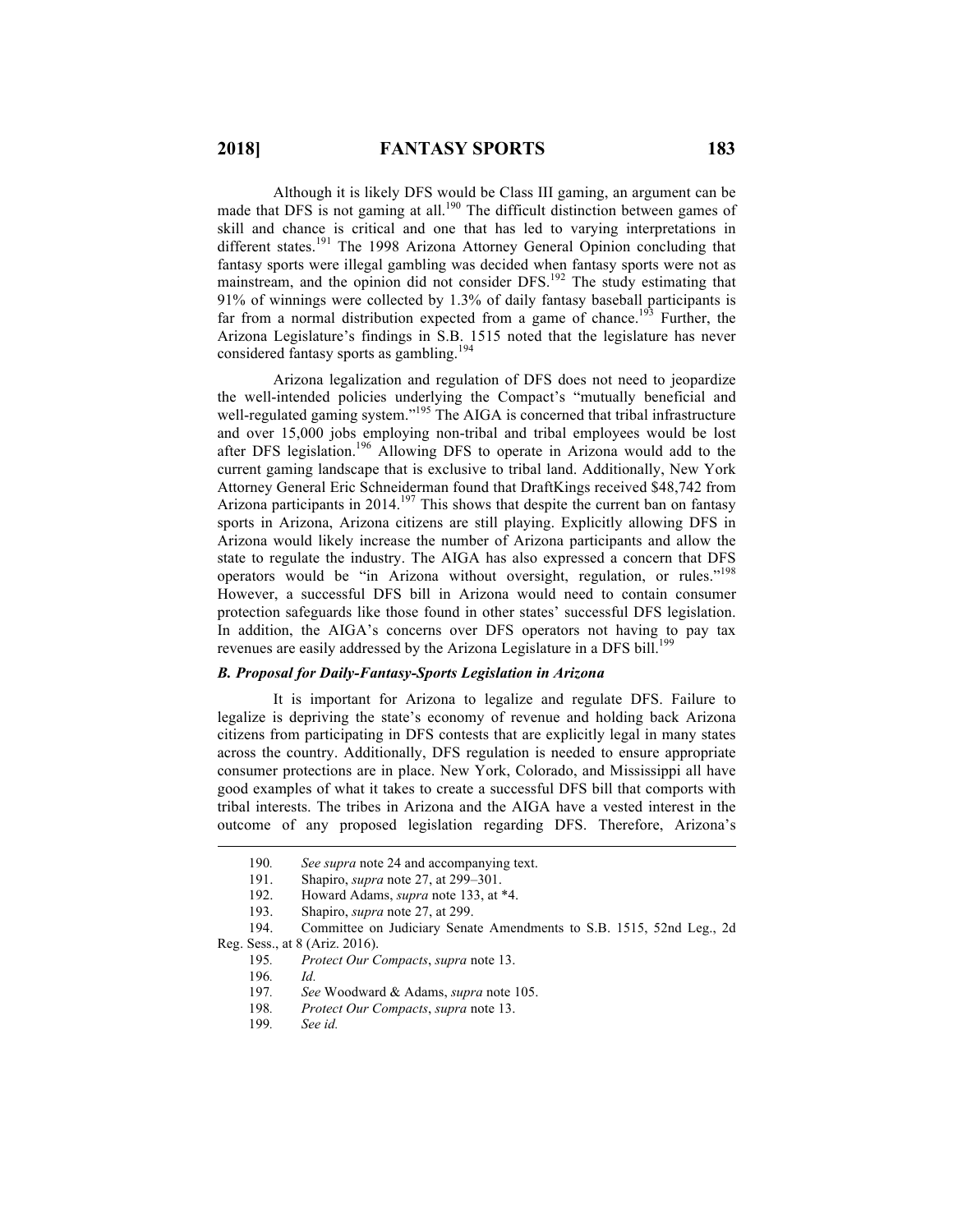Although it is likely DFS would be Class III gaming, an argument can be made that DFS is not gaming at all. <sup>190</sup> The difficult distinction between games of skill and chance is critical and one that has led to varying interpretations in different states.<sup>191</sup> The 1998 Arizona Attorney General Opinion concluding that fantasy sports were illegal gambling was decided when fantasy sports were not as mainstream, and the opinion did not consider DFS.<sup>192</sup> The study estimating that 91% of winnings were collected by 1.3% of daily fantasy baseball participants is far from a normal distribution expected from a game of chance.<sup>193</sup> Further, the Arizona Legislature's findings in S.B. 1515 noted that the legislature has never considered fantasy sports as gambling.<sup>194</sup>

Arizona legalization and regulation of DFS does not need to jeopardize the well-intended policies underlying the Compact's "mutually beneficial and well-regulated gaming system."<sup>195</sup> The AIGA is concerned that tribal infrastructure and over 15,000 jobs employing non-tribal and tribal employees would be lost after DFS legislation.<sup>196</sup> Allowing DFS to operate in Arizona would add to the current gaming landscape that is exclusive to tribal land. Additionally, New York Attorney General Eric Schneiderman found that DraftKings received \$48,742 from Arizona participants in  $2014$ <sup>197</sup>. This shows that despite the current ban on fantasy sports in Arizona, Arizona citizens are still playing. Explicitly allowing DFS in Arizona would likely increase the number of Arizona participants and allow the state to regulate the industry. The AIGA has also expressed a concern that DFS operators would be "in Arizona without oversight, regulation, or rules."<sup>198</sup> However, a successful DFS bill in Arizona would need to contain consumer protection safeguards like those found in other states' successful DFS legislation. In addition, the AIGA's concerns over DFS operators not having to pay tax revenues are easily addressed by the Arizona Legislature in a DFS bill.<sup>199</sup>

#### *B. Proposal for Daily-Fantasy-Sports Legislation in Arizona*

It is important for Arizona to legalize and regulate DFS. Failure to legalize is depriving the state's economy of revenue and holding back Arizona citizens from participating in DFS contests that are explicitly legal in many states across the country. Additionally, DFS regulation is needed to ensure appropriate consumer protections are in place. New York, Colorado, and Mississippi all have good examples of what it takes to create a successful DFS bill that comports with tribal interests. The tribes in Arizona and the AIGA have a vested interest in the outcome of any proposed legislation regarding DFS. Therefore, Arizona's

 <sup>190</sup>*. See supra* note 24 and accompanying text.

<sup>191.</sup> Shapiro, *supra* note 27, at 299–301.

<sup>192.</sup> Howard Adams, *supra* note 133, at \*4.

<sup>193.</sup> Shapiro, *supra* note 27, at 299.

<sup>194.</sup> Committee on Judiciary Senate Amendments to S.B. 1515, 52nd Leg., 2d Reg. Sess., at 8 (Ariz. 2016).

<sup>195</sup>*. Protect Our Compacts*, *supra* note 13.

<sup>196</sup>*. Id.*

<sup>197</sup>*. See* Woodward & Adams, *supra* note 105.

<sup>198</sup>*. Protect Our Compacts*, *supra* note 13.

<sup>199</sup>*. See id.*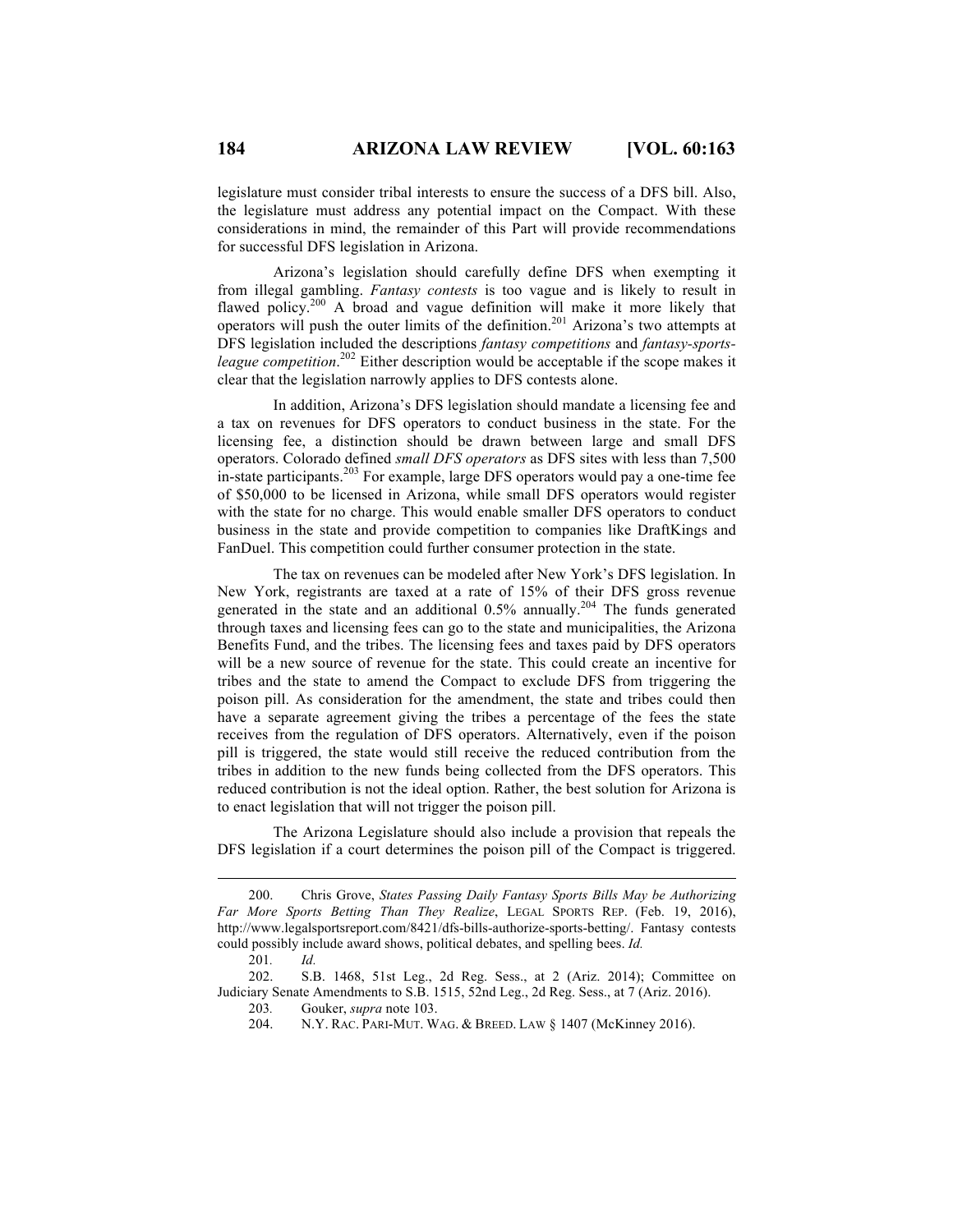legislature must consider tribal interests to ensure the success of a DFS bill. Also, the legislature must address any potential impact on the Compact. With these considerations in mind, the remainder of this Part will provide recommendations for successful DFS legislation in Arizona.

Arizona's legislation should carefully define DFS when exempting it from illegal gambling. *Fantasy contests* is too vague and is likely to result in flawed policy.<sup>200</sup> A broad and vague definition will make it more likely that operators will push the outer limits of the definition.<sup>201</sup> Arizona's two attempts at DFS legislation included the descriptions *fantasy competitions* and *fantasy-sportsleague competition*. <sup>202</sup> Either description would be acceptable if the scope makes it clear that the legislation narrowly applies to DFS contests alone.

In addition, Arizona's DFS legislation should mandate a licensing fee and a tax on revenues for DFS operators to conduct business in the state. For the licensing fee, a distinction should be drawn between large and small DFS operators. Colorado defined *small DFS operators* as DFS sites with less than 7,500 in-state participants.<sup>203</sup> For example, large DFS operators would pay a one-time fee of \$50,000 to be licensed in Arizona, while small DFS operators would register with the state for no charge. This would enable smaller DFS operators to conduct business in the state and provide competition to companies like DraftKings and FanDuel. This competition could further consumer protection in the state.

The tax on revenues can be modeled after New York's DFS legislation. In New York, registrants are taxed at a rate of 15% of their DFS gross revenue generated in the state and an additional  $0.5\%$  annually.<sup>204</sup> The funds generated through taxes and licensing fees can go to the state and municipalities, the Arizona Benefits Fund, and the tribes. The licensing fees and taxes paid by DFS operators will be a new source of revenue for the state. This could create an incentive for tribes and the state to amend the Compact to exclude DFS from triggering the poison pill. As consideration for the amendment, the state and tribes could then have a separate agreement giving the tribes a percentage of the fees the state receives from the regulation of DFS operators. Alternatively, even if the poison pill is triggered, the state would still receive the reduced contribution from the tribes in addition to the new funds being collected from the DFS operators. This reduced contribution is not the ideal option. Rather, the best solution for Arizona is to enact legislation that will not trigger the poison pill.

The Arizona Legislature should also include a provision that repeals the DFS legislation if a court determines the poison pill of the Compact is triggered.

204. N.Y. RAC. PARI-MUT. WAG. & BREED. LAW § 1407 (McKinney 2016).

 <sup>200.</sup> Chris Grove, *States Passing Daily Fantasy Sports Bills May be Authorizing Far More Sports Betting Than They Realize*, LEGAL SPORTS REP. (Feb. 19, 2016), http://www.legalsportsreport.com/8421/dfs-bills-authorize-sports-betting/. Fantasy contests could possibly include award shows, political debates, and spelling bees. *Id.*

<sup>201</sup>*. Id.*

<sup>202.</sup> S.B. 1468, 51st Leg., 2d Reg. Sess., at 2 (Ariz. 2014); Committee on Judiciary Senate Amendments to S.B. 1515, 52nd Leg., 2d Reg. Sess., at 7 (Ariz. 2016).

<sup>203</sup>*.* Gouker, *supra* note 103.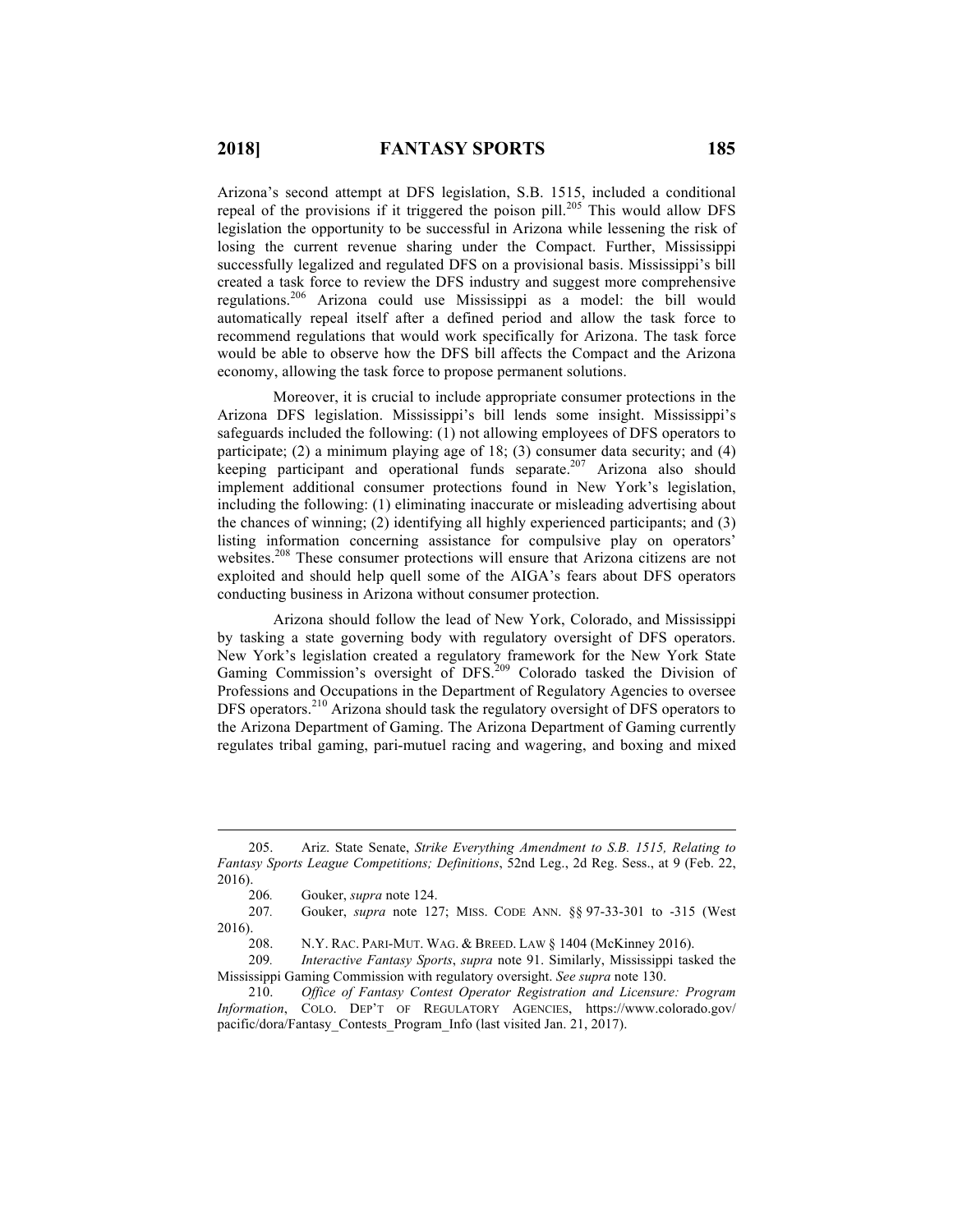Arizona's second attempt at DFS legislation, S.B. 1515, included a conditional repeal of the provisions if it triggered the poison pill.<sup>205</sup> This would allow DFS legislation the opportunity to be successful in Arizona while lessening the risk of losing the current revenue sharing under the Compact. Further, Mississippi successfully legalized and regulated DFS on a provisional basis. Mississippi's bill created a task force to review the DFS industry and suggest more comprehensive regulations.<sup>206</sup> Arizona could use Mississippi as a model: the bill would automatically repeal itself after a defined period and allow the task force to recommend regulations that would work specifically for Arizona. The task force would be able to observe how the DFS bill affects the Compact and the Arizona economy, allowing the task force to propose permanent solutions.

Moreover, it is crucial to include appropriate consumer protections in the Arizona DFS legislation. Mississippi's bill lends some insight. Mississippi's safeguards included the following: (1) not allowing employees of DFS operators to participate; (2) a minimum playing age of  $18$ ; (3) consumer data security; and (4) participant,  $(z)$  a minimum praying uge of 10,  $(z)$  consumer usin because,  $z_{07}$   $(z)$ ,  $z_{08}$   $(z)$   $z_{08}$   $(z)$   $z_{08}$   $(z)$   $z_{08}$   $(z)$   $z_{08}$   $(z)$   $z_{08}$   $(z)$   $z_{08}$   $(z)$   $z_{08}$   $(z)$   $z_{08}$   $(z)$   $z_{08}$   $(z)$   $z$ implement additional consumer protections found in New York's legislation, including the following: (1) eliminating inaccurate or misleading advertising about the chances of winning; (2) identifying all highly experienced participants; and (3) listing information concerning assistance for compulsive play on operators' websites.<sup>208</sup> These consumer protections will ensure that Arizona citizens are not exploited and should help quell some of the AIGA's fears about DFS operators conducting business in Arizona without consumer protection.

Arizona should follow the lead of New York, Colorado, and Mississippi by tasking a state governing body with regulatory oversight of DFS operators. New York's legislation created a regulatory framework for the New York State Gaming Commission's oversight of DFS.<sup>209</sup> Colorado tasked the Division of Professions and Occupations in the Department of Regulatory Agencies to oversee DFS operators.<sup>210</sup> Arizona should task the regulatory oversight of DFS operators to the Arizona Department of Gaming. The Arizona Department of Gaming currently regulates tribal gaming, pari-mutuel racing and wagering, and boxing and mixed

 <sup>205.</sup> Ariz. State Senate, *Strike Everything Amendment to S.B. 1515, Relating to Fantasy Sports League Competitions; Definitions*, 52nd Leg., 2d Reg. Sess., at 9 (Feb. 22, 2016).

<sup>206</sup>*.* Gouker, *supra* note 124.

<sup>207</sup>*.* Gouker, *supra* note 127; MISS. CODE ANN. §§ 97-33-301 to -315 (West 2016).

<sup>208.</sup> N.Y. RAC. PARI-MUT. WAG. & BREED. LAW § 1404 (McKinney 2016).

<sup>209</sup>*. Interactive Fantasy Sports*, *supra* note 91. Similarly, Mississippi tasked the Mississippi Gaming Commission with regulatory oversight. *See supra* note 130.

<sup>210.</sup> *Office of Fantasy Contest Operator Registration and Licensure: Program Information*, COLO. DEP'T OF REGULATORY AGENCIES, https://www.colorado.gov/ pacific/dora/Fantasy Contests Program Info (last visited Jan. 21, 2017).